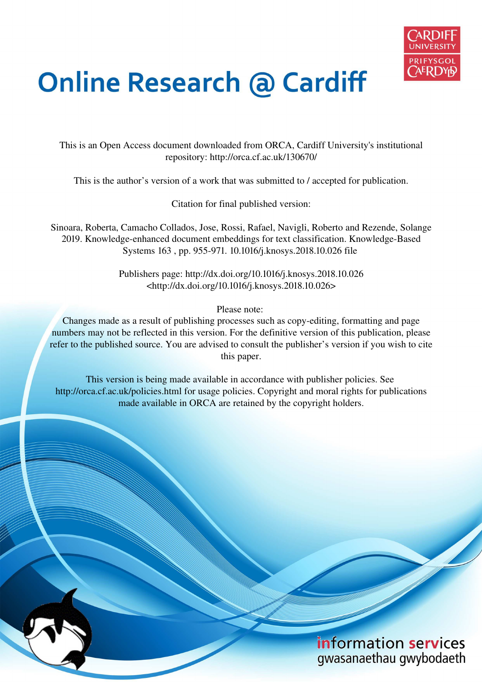

# **Online Research @ Cardiff**

This is an Open Access document downloaded from ORCA, Cardiff University's institutional repository: http://orca.cf.ac.uk/130670/

This is the author's version of a work that was submitted to / accepted for publication.

Citation for final published version:

Sinoara, Roberta, Camacho Collados, Jose, Rossi, Rafael, Navigli, Roberto and Rezende, Solange 2019. Knowledge-enhanced document embeddings for text classification. Knowledge-Based Systems 163 , pp. 955-971. 10.1016/j.knosys.2018.10.026 file

> Publishers page: http://dx.doi.org/10.1016/j.knosys.2018.10.026 <http://dx.doi.org/10.1016/j.knosys.2018.10.026>

> > Please note:

Changes made as a result of publishing processes such as copy-editing, formatting and page numbers may not be reflected in this version. For the definitive version of this publication, please refer to the published source. You are advised to consult the publisher's version if you wish to cite this paper.

This version is being made available in accordance with publisher policies. See http://orca.cf.ac.uk/policies.html for usage policies. Copyright and moral rights for publications made available in ORCA are retained by the copyright holders.

# information services gwasanaethau gwybodaeth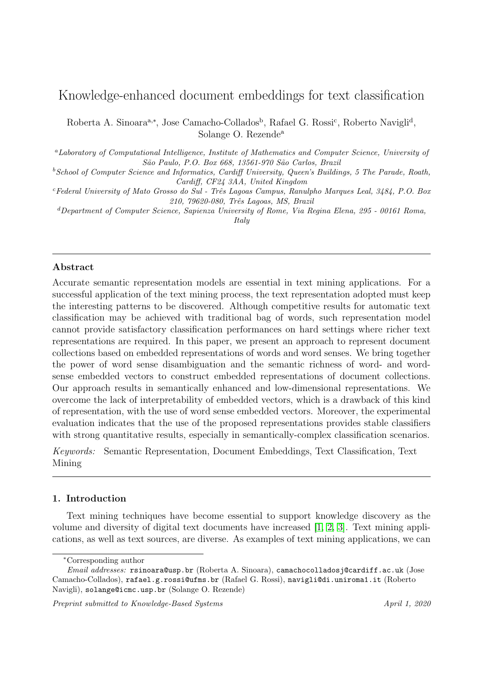# Knowledge-enhanced document embeddings for text classification

Roberta A. Sinoara<sup>a,∗</sup>, Jose Camacho-Collados<sup>b</sup>, Rafael G. Rossi<sup>c</sup>, Roberto Navigli<sup>d</sup>, Solange O. Rezende<sup>a</sup>

<sup>a</sup>Laboratory of Computational Intelligence, Institute of Mathematics and Computer Science, University of São Paulo, P.O. Box 668, 13561-970 São Carlos, Brazil

 $^{b}$ School of Computer Science and Informatics, Cardiff University, Queen's Buildings, 5 The Parade, Roath, Cardiff, CF24 3AA, United Kingdom

 $c$ Federal University of Mato Grosso do Sul - Três Lagoas Campus, Ranulpho Marques Leal, 3484, P.O. Box 210, 79620-080, Três Lagoas, MS, Brazil

 ${}^{d}$ Department of Computer Science, Sapienza University of Rome, Via Regina Elena, 295 - 00161 Roma, Italy

# Abstract

Accurate semantic representation models are essential in text mining applications. For a successful application of the text mining process, the text representation adopted must keep the interesting patterns to be discovered. Although competitive results for automatic text classification may be achieved with traditional bag of words, such representation model cannot provide satisfactory classification performances on hard settings where richer text representations are required. In this paper, we present an approach to represent document collections based on embedded representations of words and word senses. We bring together the power of word sense disambiguation and the semantic richness of word- and wordsense embedded vectors to construct embedded representations of document collections. Our approach results in semantically enhanced and low-dimensional representations. We overcome the lack of interpretability of embedded vectors, which is a drawback of this kind of representation, with the use of word sense embedded vectors. Moreover, the experimental evaluation indicates that the use of the proposed representations provides stable classifiers with strong quantitative results, especially in semantically-complex classification scenarios.

Keywords: Semantic Representation, Document Embeddings, Text Classification, Text Mining

# 1. Introduction

Text mining techniques have become essential to support knowledge discovery as the volume and diversity of digital text documents have increased [\[1,](#page-31-0) [2,](#page-31-1) [3\]](#page-31-2). Text mining applications, as well as text sources, are diverse. As examples of text mining applications, we can

<sup>∗</sup>Corresponding author

Email addresses: rsinoara@usp.br (Roberta A. Sinoara), camachocolladosj@cardiff.ac.uk (Jose Camacho-Collados), rafael.g.rossi@ufms.br (Rafael G. Rossi), navigli@di.uniroma1.it (Roberto Navigli), solange@icmc.usp.br (Solange O. Rezende)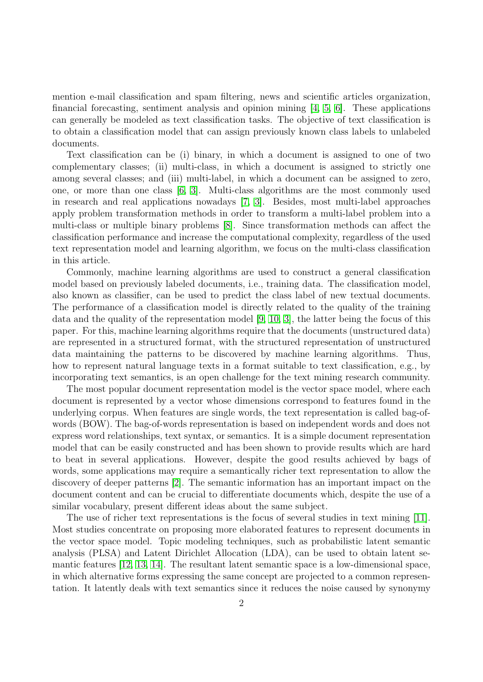mention e-mail classification and spam filtering, news and scientific articles organization, financial forecasting, sentiment analysis and opinion mining  $[4, 5, 6]$  $[4, 5, 6]$  $[4, 5, 6]$ . These applications can generally be modeled as text classification tasks. The objective of text classification is to obtain a classification model that can assign previously known class labels to unlabeled documents.

Text classification can be (i) binary, in which a document is assigned to one of two complementary classes; (ii) multi-class, in which a document is assigned to strictly one among several classes; and (iii) multi-label, in which a document can be assigned to zero, one, or more than one class [\[6,](#page-31-5) [3\]](#page-31-2). Multi-class algorithms are the most commonly used in research and real applications nowadays [\[7,](#page-31-6) [3\]](#page-31-2). Besides, most multi-label approaches apply problem transformation methods in order to transform a multi-label problem into a multi-class or multiple binary problems [\[8\]](#page-31-7). Since transformation methods can affect the classification performance and increase the computational complexity, regardless of the used text representation model and learning algorithm, we focus on the multi-class classification in this article.

Commonly, machine learning algorithms are used to construct a general classification model based on previously labeled documents, i.e., training data. The classification model, also known as classifier, can be used to predict the class label of new textual documents. The performance of a classification model is directly related to the quality of the training data and the quality of the representation model [\[9,](#page-31-8) [10,](#page-31-9) [3\]](#page-31-2), the latter being the focus of this paper. For this, machine learning algorithms require that the documents (unstructured data) are represented in a structured format, with the structured representation of unstructured data maintaining the patterns to be discovered by machine learning algorithms. Thus, how to represent natural language texts in a format suitable to text classification, e.g., by incorporating text semantics, is an open challenge for the text mining research community.

The most popular document representation model is the vector space model, where each document is represented by a vector whose dimensions correspond to features found in the underlying corpus. When features are single words, the text representation is called bag-ofwords (BOW). The bag-of-words representation is based on independent words and does not express word relationships, text syntax, or semantics. It is a simple document representation model that can be easily constructed and has been shown to provide results which are hard to beat in several applications. However, despite the good results achieved by bags of words, some applications may require a semantically richer text representation to allow the discovery of deeper patterns [\[2\]](#page-31-1). The semantic information has an important impact on the document content and can be crucial to differentiate documents which, despite the use of a similar vocabulary, present different ideas about the same subject.

The use of richer text representations is the focus of several studies in text mining [\[11\]](#page-31-10). Most studies concentrate on proposing more elaborated features to represent documents in the vector space model. Topic modeling techniques, such as probabilistic latent semantic analysis (PLSA) and Latent Dirichlet Allocation (LDA), can be used to obtain latent se-mantic features [\[12,](#page-31-11) [13,](#page-31-12) [14\]](#page-31-13). The resultant latent semantic space is a low-dimensional space, in which alternative forms expressing the same concept are projected to a common representation. It latently deals with text semantics since it reduces the noise caused by synonymy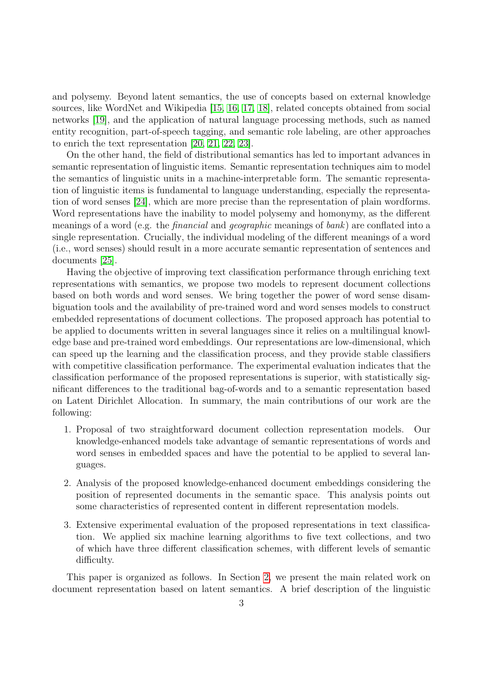and polysemy. Beyond latent semantics, the use of concepts based on external knowledge sources, like WordNet and Wikipedia [\[15,](#page-31-14) [16,](#page-32-0) [17,](#page-32-1) [18\]](#page-32-2), related concepts obtained from social networks [\[19\]](#page-32-3), and the application of natural language processing methods, such as named entity recognition, part-of-speech tagging, and semantic role labeling, are other approaches to enrich the text representation [\[20,](#page-32-4) [21,](#page-32-5) [22,](#page-32-6) [23\]](#page-32-7).

On the other hand, the field of distributional semantics has led to important advances in semantic representation of linguistic items. Semantic representation techniques aim to model the semantics of linguistic units in a machine-interpretable form. The semantic representation of linguistic items is fundamental to language understanding, especially the representation of word senses [\[24\]](#page-32-8), which are more precise than the representation of plain wordforms. Word representations have the inability to model polysemy and homonymy, as the different meanings of a word (e.g. the financial and geographic meanings of bank) are conflated into a single representation. Crucially, the individual modeling of the different meanings of a word (i.e., word senses) should result in a more accurate semantic representation of sentences and documents [\[25\]](#page-32-9).

Having the objective of improving text classification performance through enriching text representations with semantics, we propose two models to represent document collections based on both words and word senses. We bring together the power of word sense disambiguation tools and the availability of pre-trained word and word senses models to construct embedded representations of document collections. The proposed approach has potential to be applied to documents written in several languages since it relies on a multilingual knowledge base and pre-trained word embeddings. Our representations are low-dimensional, which can speed up the learning and the classification process, and they provide stable classifiers with competitive classification performance. The experimental evaluation indicates that the classification performance of the proposed representations is superior, with statistically significant differences to the traditional bag-of-words and to a semantic representation based on Latent Dirichlet Allocation. In summary, the main contributions of our work are the following:

- 1. Proposal of two straightforward document collection representation models. Our knowledge-enhanced models take advantage of semantic representations of words and word senses in embedded spaces and have the potential to be applied to several languages.
- 2. Analysis of the proposed knowledge-enhanced document embeddings considering the position of represented documents in the semantic space. This analysis points out some characteristics of represented content in different representation models.
- 3. Extensive experimental evaluation of the proposed representations in text classification. We applied six machine learning algorithms to five text collections, and two of which have three different classification schemes, with different levels of semantic difficulty.

This paper is organized as follows. In Section [2,](#page-4-0) we present the main related work on document representation based on latent semantics. A brief description of the linguistic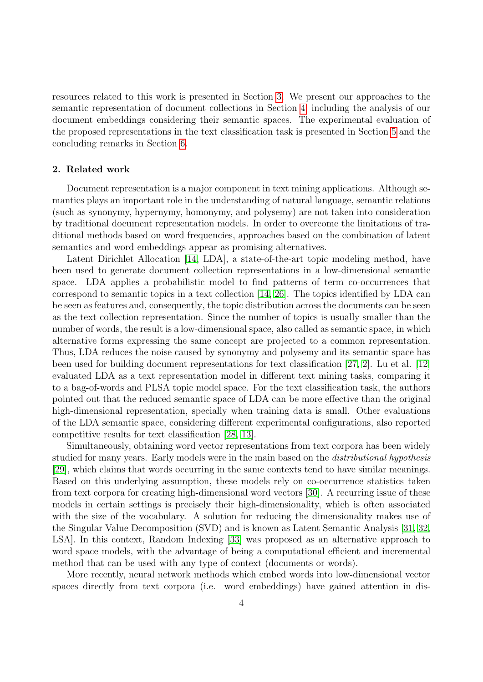resources related to this work is presented in Section [3.](#page-5-0) We present our approaches to the semantic representation of document collections in Section [4,](#page-7-0) including the analysis of our document embeddings considering their semantic spaces. The experimental evaluation of the proposed representations in the text classification task is presented in Section [5](#page-15-0) and the concluding remarks in Section [6.](#page-30-0)

# <span id="page-4-0"></span>2. Related work

Document representation is a major component in text mining applications. Although semantics plays an important role in the understanding of natural language, semantic relations (such as synonymy, hypernymy, homonymy, and polysemy) are not taken into consideration by traditional document representation models. In order to overcome the limitations of traditional methods based on word frequencies, approaches based on the combination of latent semantics and word embeddings appear as promising alternatives.

Latent Dirichlet Allocation [\[14,](#page-31-13) LDA], a state-of-the-art topic modeling method, have been used to generate document collection representations in a low-dimensional semantic space. LDA applies a probabilistic model to find patterns of term co-occurrences that correspond to semantic topics in a text collection [\[14,](#page-31-13) [26\]](#page-32-10). The topics identified by LDA can be seen as features and, consequently, the topic distribution across the documents can be seen as the text collection representation. Since the number of topics is usually smaller than the number of words, the result is a low-dimensional space, also called as semantic space, in which alternative forms expressing the same concept are projected to a common representation. Thus, LDA reduces the noise caused by synonymy and polysemy and its semantic space has been used for building document representations for text classification [\[27,](#page-32-11) [2\]](#page-31-1). Lu et al. [\[12\]](#page-31-11) evaluated LDA as a text representation model in different text mining tasks, comparing it to a bag-of-words and PLSA topic model space. For the text classification task, the authors pointed out that the reduced semantic space of LDA can be more effective than the original high-dimensional representation, specially when training data is small. Other evaluations of the LDA semantic space, considering different experimental configurations, also reported competitive results for text classification [\[28,](#page-32-12) [13\]](#page-31-12).

Simultaneously, obtaining word vector representations from text corpora has been widely studied for many years. Early models were in the main based on the distributional hypothesis [\[29\]](#page-32-13), which claims that words occurring in the same contexts tend to have similar meanings. Based on this underlying assumption, these models rely on co-occurrence statistics taken from text corpora for creating high-dimensional word vectors [\[30\]](#page-32-14). A recurring issue of these models in certain settings is precisely their high-dimensionality, which is often associated with the size of the vocabulary. A solution for reducing the dimensionality makes use of the Singular Value Decomposition (SVD) and is known as Latent Semantic Analysis [\[31,](#page-32-15) [32,](#page-32-16) LSA]. In this context, Random Indexing [\[33\]](#page-32-17) was proposed as an alternative approach to word space models, with the advantage of being a computational efficient and incremental method that can be used with any type of context (documents or words).

More recently, neural network methods which embed words into low-dimensional vector spaces directly from text corpora (i.e. word embeddings) have gained attention in dis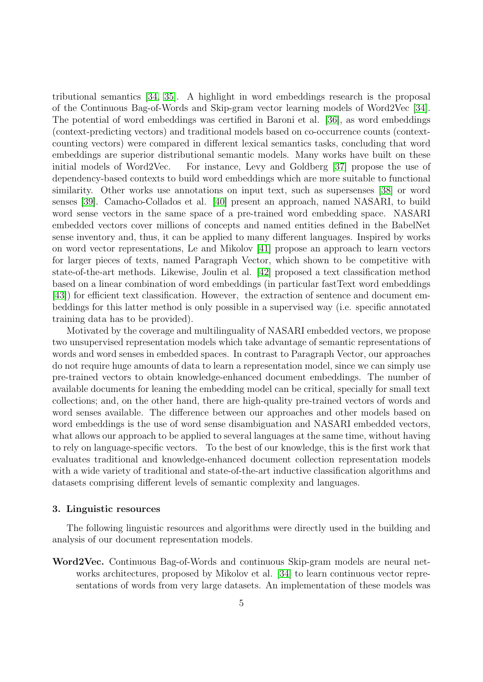tributional semantics [\[34,](#page-32-18) [35\]](#page-32-19). A highlight in word embeddings research is the proposal of the Continuous Bag-of-Words and Skip-gram vector learning models of Word2Vec [\[34\]](#page-32-18). The potential of word embeddings was certified in Baroni et al. [\[36\]](#page-32-20), as word embeddings (context-predicting vectors) and traditional models based on co-occurrence counts (contextcounting vectors) were compared in different lexical semantics tasks, concluding that word embeddings are superior distributional semantic models. Many works have built on these initial models of Word2Vec. For instance, Levy and Goldberg [\[37\]](#page-33-0) propose the use of dependency-based contexts to build word embeddings which are more suitable to functional similarity. Other works use annotations on input text, such as supersenses [\[38\]](#page-33-1) or word senses [\[39\]](#page-33-2). Camacho-Collados et al. [\[40\]](#page-33-3) present an approach, named NASARI, to build word sense vectors in the same space of a pre-trained word embedding space. NASARI embedded vectors cover millions of concepts and named entities defined in the BabelNet sense inventory and, thus, it can be applied to many different languages. Inspired by works on word vector representations, Le and Mikolov [\[41\]](#page-33-4) propose an approach to learn vectors for larger pieces of texts, named Paragraph Vector, which shown to be competitive with state-of-the-art methods. Likewise, Joulin et al. [\[42\]](#page-33-5) proposed a text classification method based on a linear combination of word embeddings (in particular fastText word embeddings [\[43\]](#page-33-6)) for efficient text classification. However, the extraction of sentence and document embeddings for this latter method is only possible in a supervised way (i.e. specific annotated training data has to be provided).

Motivated by the coverage and multilinguality of NASARI embedded vectors, we propose two unsupervised representation models which take advantage of semantic representations of words and word senses in embedded spaces. In contrast to Paragraph Vector, our approaches do not require huge amounts of data to learn a representation model, since we can simply use pre-trained vectors to obtain knowledge-enhanced document embeddings. The number of available documents for leaning the embedding model can be critical, specially for small text collections; and, on the other hand, there are high-quality pre-trained vectors of words and word senses available. The difference between our approaches and other models based on word embeddings is the use of word sense disambiguation and NASARI embedded vectors, what allows our approach to be applied to several languages at the same time, without having to rely on language-specific vectors. To the best of our knowledge, this is the first work that evaluates traditional and knowledge-enhanced document collection representation models with a wide variety of traditional and state-of-the-art inductive classification algorithms and datasets comprising different levels of semantic complexity and languages.

# <span id="page-5-0"></span>3. Linguistic resources

The following linguistic resources and algorithms were directly used in the building and analysis of our document representation models.

Word2Vec. Continuous Bag-of-Words and continuous Skip-gram models are neural networks architectures, proposed by Mikolov et al. [\[34\]](#page-32-18) to learn continuous vector representations of words from very large datasets. An implementation of these models was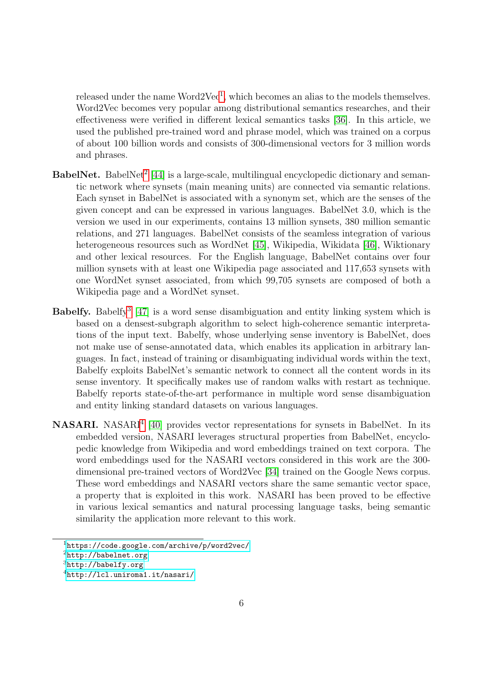released under the name Word2Vec<sup>[1](#page-6-0)</sup>, which becomes an alias to the models themselves. Word2Vec becomes very popular among distributional semantics researches, and their effectiveness were verified in different lexical semantics tasks [\[36\]](#page-32-20). In this article, we used the published pre-trained word and phrase model, which was trained on a corpus of about 100 billion words and consists of 300-dimensional vectors for 3 million words and phrases.

- BabelNet. BabelNet<sup>[2](#page-6-1)</sup> [\[44\]](#page-33-7) is a large-scale, multilingual encyclopedic dictionary and semantic network where synsets (main meaning units) are connected via semantic relations. Each synset in BabelNet is associated with a synonym set, which are the senses of the given concept and can be expressed in various languages. BabelNet 3.0, which is the version we used in our experiments, contains 13 million synsets, 380 million semantic relations, and 271 languages. BabelNet consists of the seamless integration of various heterogeneous resources such as WordNet [\[45\]](#page-33-8), Wikipedia, Wikidata [\[46\]](#page-33-9), Wiktionary and other lexical resources. For the English language, BabelNet contains over four million synsets with at least one Wikipedia page associated and 117,653 synsets with one WordNet synset associated, from which 99,705 synsets are composed of both a Wikipedia page and a WordNet synset.
- Babelfy. Babelfy<sup>[3](#page-6-2)</sup> [\[47\]](#page-33-10) is a word sense disambiguation and entity linking system which is based on a densest-subgraph algorithm to select high-coherence semantic interpretations of the input text. Babelfy, whose underlying sense inventory is BabelNet, does not make use of sense-annotated data, which enables its application in arbitrary languages. In fact, instead of training or disambiguating individual words within the text, Babelfy exploits BabelNet's semantic network to connect all the content words in its sense inventory. It specifically makes use of random walks with restart as technique. Babelfy reports state-of-the-art performance in multiple word sense disambiguation and entity linking standard datasets on various languages.
- NASARI. NASARI<sup>[4](#page-6-3)</sup> [\[40\]](#page-33-3) provides vector representations for synsets in BabelNet. In its embedded version, NASARI leverages structural properties from BabelNet, encyclopedic knowledge from Wikipedia and word embeddings trained on text corpora. The word embeddings used for the NASARI vectors considered in this work are the 300 dimensional pre-trained vectors of Word2Vec [\[34\]](#page-32-18) trained on the Google News corpus. These word embeddings and NASARI vectors share the same semantic vector space, a property that is exploited in this work. NASARI has been proved to be effective in various lexical semantics and natural processing language tasks, being semantic similarity the application more relevant to this work.

<span id="page-6-0"></span><sup>1</sup><https://code.google.com/archive/p/word2vec/>

<span id="page-6-1"></span><sup>2</sup><http://babelnet.org>

<span id="page-6-2"></span><sup>3</sup><http://babelfy.org>

<span id="page-6-3"></span><sup>4</sup><http://lcl.uniroma1.it/nasari/>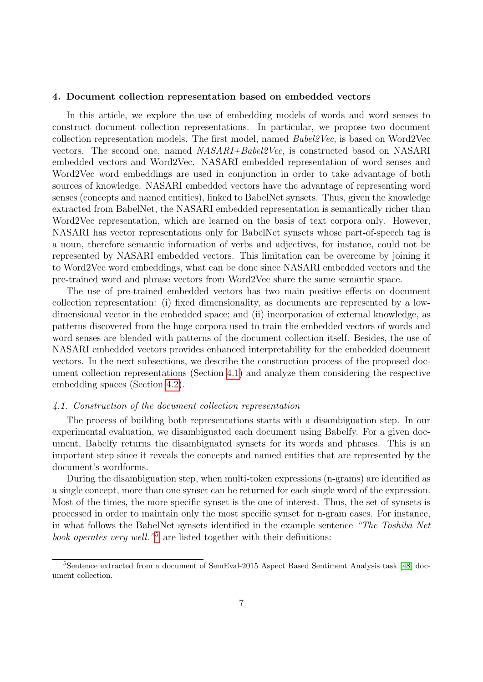#### <span id="page-7-0"></span>4. Document collection representation based on embedded vectors

In this article, we explore the use of embedding models of words and word senses to construct document collection representations. In particular, we propose two document collection representation models. The first model, named Babel2Vec, is based on Word2Vec vectors. The second one, named NASARI+Babel2Vec, is constructed based on NASARI embedded vectors and Word2Vec. NASARI embedded representation of word senses and Word2Vec word embeddings are used in conjunction in order to take advantage of both sources of knowledge. NASARI embedded vectors have the advantage of representing word senses (concepts and named entities), linked to BabelNet synsets. Thus, given the knowledge extracted from BabelNet, the NASARI embedded representation is semantically richer than Word2Vec representation, which are learned on the basis of text corpora only. However, NASARI has vector representations only for BabelNet synsets whose part-of-speech tag is a noun, therefore semantic information of verbs and adjectives, for instance, could not be represented by NASARI embedded vectors. This limitation can be overcome by joining it to Word2Vec word embeddings, what can be done since NASARI embedded vectors and the pre-trained word and phrase vectors from Word2Vec share the same semantic space.

The use of pre-trained embedded vectors has two main positive effects on document collection representation: (i) fixed dimensionality, as documents are represented by a lowdimensional vector in the embedded space; and (ii) incorporation of external knowledge, as patterns discovered from the huge corpora used to train the embedded vectors of words and word senses are blended with patterns of the document collection itself. Besides, the use of NASARI embedded vectors provides enhanced interpretability for the embedded document vectors. In the next subsections, we describe the construction process of the proposed document collection representations (Section [4.1\)](#page-7-1) and analyze them considering the respective embedding spaces (Section [4.2\)](#page-9-0).

### <span id="page-7-1"></span>4.1. Construction of the document collection representation

The process of building both representations starts with a disambiguation step. In our experimental evaluation, we disambiguated each document using Babelfy. For a given document, Babelfy returns the disambiguated synsets for its words and phrases. This is an important step since it reveals the concepts and named entities that are represented by the document's wordforms.

During the disambiguation step, when multi-token expressions (n-grams) are identified as a single concept, more than one synset can be returned for each single word of the expression. Most of the times, the more specific synset is the one of interest. Thus, the set of synsets is processed in order to maintain only the most specific synset for n-gram cases. For instance, in what follows the BabelNet synsets identified in the example sentence "The Toshiba Net book operates very well.<sup>"[5](#page-7-2)</sup> are listed together with their definitions:

<span id="page-7-2"></span><sup>&</sup>lt;sup>5</sup>Sentence extracted from a document of SemEval-2015 Aspect Based Sentiment Analysis task [\[48\]](#page-33-11) document collection.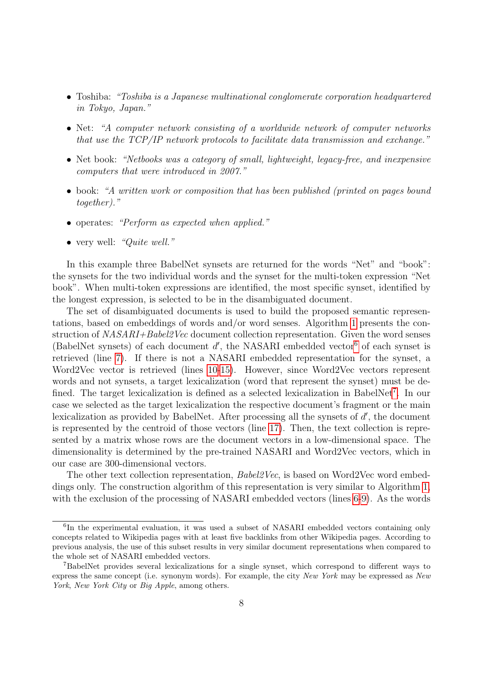- Toshiba: "Toshiba is a Japanese multinational conglomerate corporation headquartered in Tokyo, Japan."
- Net: "A computer network consisting of a worldwide network of computer networks that use the TCP/IP network protocols to facilitate data transmission and exchange."
- Net book: "Netbooks was a category of small, lightweight, legacy-free, and inexpensive computers that were introduced in 2007."
- book: "A written work or composition that has been published (printed on pages bound together)."
- operates: "Perform as expected when applied."
- very well: "Quite well."

In this example three BabelNet synsets are returned for the words "Net" and "book": the synsets for the two individual words and the synset for the multi-token expression "Net book". When multi-token expressions are identified, the most specific synset, identified by the longest expression, is selected to be in the disambiguated document.

The set of disambiguated documents is used to build the proposed semantic representations, based on embeddings of words and/or word senses. Algorithm [1](#page-9-1) presents the construction of NASARI+Babel2Vec document collection representation. Given the word senses (BabelNet synsets) of each document  $d'$ , the NASARI embedded vector<sup>[6](#page-8-0)</sup> of each synset is retrieved (line [7\)](#page-9-2). If there is not a NASARI embedded representation for the synset, a Word2Vec vector is retrieved (lines [10-](#page-9-3)[15\)](#page-9-4). However, since Word2Vec vectors represent words and not synsets, a target lexicalization (word that represent the synset) must be de-fined. The target lexicalization is defined as a selected lexicalization in BabelNet<sup>[7](#page-8-1)</sup>. In our case we selected as the target lexicalization the respective document's fragment or the main lexicalization as provided by BabelNet. After processing all the synsets of d', the document is represented by the centroid of those vectors (line [17\)](#page-9-5). Then, the text collection is represented by a matrix whose rows are the document vectors in a low-dimensional space. The dimensionality is determined by the pre-trained NASARI and Word2Vec vectors, which in our case are 300-dimensional vectors.

The other text collection representation, Babel2Vec, is based on Word2Vec word embeddings only. The construction algorithm of this representation is very similar to Algorithm [1,](#page-9-1) with the exclusion of the processing of NASARI embedded vectors (lines [6-](#page-9-6)[9\)](#page-9-7). As the words

<span id="page-8-0"></span><sup>&</sup>lt;sup>6</sup>In the experimental evaluation, it was used a subset of NASARI embedded vectors containing only concepts related to Wikipedia pages with at least five backlinks from other Wikipedia pages. According to previous analysis, the use of this subset results in very similar document representations when compared to the whole set of NASARI embedded vectors.

<span id="page-8-1"></span><sup>7</sup>BabelNet provides several lexicalizations for a single synset, which correspond to different ways to express the same concept (i.e. synonym words). For example, the city *New York* may be expressed as *New* York, New York City or Big Apple, among others.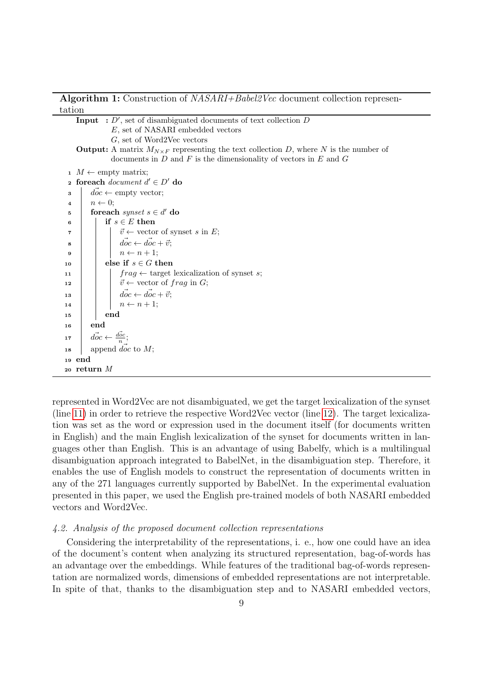Algorithm 1: Construction of  $NASARI+Babel2Vec$  document collection representation

<span id="page-9-7"></span><span id="page-9-6"></span><span id="page-9-3"></span><span id="page-9-2"></span><span id="page-9-1"></span>

| $E$ , set of NASARI embedded vectors<br>$G$ , set of Word2Vec vectors<br><b>Output:</b> A matrix $M_{N\times F}$ representing the text collection D, where N is the number of<br>documents in $D$ and $F$ is the dimensionality of vectors in $E$ and $G$<br>$\mathbf{1} \quad M \leftarrow \text{empty matrix};$<br>2 foreach <i>document</i> $d' \in D'$ do |  |
|---------------------------------------------------------------------------------------------------------------------------------------------------------------------------------------------------------------------------------------------------------------------------------------------------------------------------------------------------------------|--|
|                                                                                                                                                                                                                                                                                                                                                               |  |
|                                                                                                                                                                                                                                                                                                                                                               |  |
|                                                                                                                                                                                                                                                                                                                                                               |  |
|                                                                                                                                                                                                                                                                                                                                                               |  |
|                                                                                                                                                                                                                                                                                                                                                               |  |
|                                                                                                                                                                                                                                                                                                                                                               |  |
| $\overrightarrow{doc} \leftarrow \text{empty vector};$<br>3                                                                                                                                                                                                                                                                                                   |  |
| $n \leftarrow 0$<br>$\overline{\mathbf{4}}$                                                                                                                                                                                                                                                                                                                   |  |
| foreach synset $s \in d'$ do<br>5                                                                                                                                                                                                                                                                                                                             |  |
| if $s \in E$ then<br>6                                                                                                                                                                                                                                                                                                                                        |  |
| $\vec{v} \leftarrow$ vector of synset s in E;<br>7                                                                                                                                                                                                                                                                                                            |  |
| $\begin{array}{c} \left  \begin{array}{c} \vec{doc} \leftarrow \vec{doc} + \vec{v}; \\ n \leftarrow n + 1; \end{array} \right. \end{array}$<br>8                                                                                                                                                                                                              |  |
| 9                                                                                                                                                                                                                                                                                                                                                             |  |
| else if $s \in G$ then<br>10                                                                                                                                                                                                                                                                                                                                  |  |
| $frag \leftarrow$ target lexicalization of synset s;<br>11                                                                                                                                                                                                                                                                                                    |  |
| 12                                                                                                                                                                                                                                                                                                                                                            |  |
| $\begin{array}{ll}\n\vec{v} \leftarrow \text{vector of } frag \text{ in } G; \\ \vec{doc} \leftarrow \vec{doc} + \vec{v}; \\ n \leftarrow n + 1; \n\end{array}$<br>13                                                                                                                                                                                         |  |
| 14                                                                                                                                                                                                                                                                                                                                                            |  |
| end<br>15                                                                                                                                                                                                                                                                                                                                                     |  |
| end<br>16                                                                                                                                                                                                                                                                                                                                                     |  |
| $\vec{doc} \leftarrow \frac{\vec{doc}}{n};$<br>17                                                                                                                                                                                                                                                                                                             |  |
| append $\overrightarrow{doc}$ to $M$ ;<br>18                                                                                                                                                                                                                                                                                                                  |  |
| 19 end                                                                                                                                                                                                                                                                                                                                                        |  |
| 20 return $M$                                                                                                                                                                                                                                                                                                                                                 |  |

<span id="page-9-9"></span><span id="page-9-8"></span><span id="page-9-5"></span><span id="page-9-4"></span>represented in Word2Vec are not disambiguated, we get the target lexicalization of the synset (line [11\)](#page-9-8) in order to retrieve the respective Word2Vec vector (line [12\)](#page-9-9). The target lexicalization was set as the word or expression used in the document itself (for documents written in English) and the main English lexicalization of the synset for documents written in languages other than English. This is an advantage of using Babelfy, which is a multilingual disambiguation approach integrated to BabelNet, in the disambiguation step. Therefore, it enables the use of English models to construct the representation of documents written in any of the 271 languages currently supported by BabelNet. In the experimental evaluation presented in this paper, we used the English pre-trained models of both NASARI embedded vectors and Word2Vec.

# <span id="page-9-0"></span>4.2. Analysis of the proposed document collection representations

Considering the interpretability of the representations, i. e., how one could have an idea of the document's content when analyzing its structured representation, bag-of-words has an advantage over the embeddings. While features of the traditional bag-of-words representation are normalized words, dimensions of embedded representations are not interpretable. In spite of that, thanks to the disambiguation step and to NASARI embedded vectors,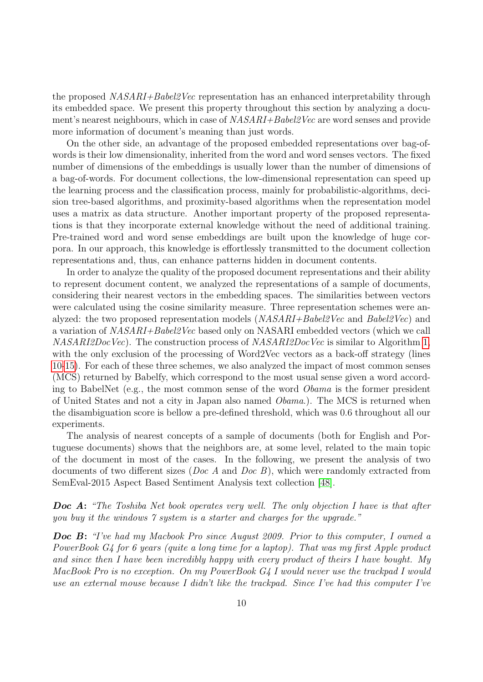the proposed NASARI+Babel2Vec representation has an enhanced interpretability through its embedded space. We present this property throughout this section by analyzing a document's nearest neighbours, which in case of  $NASARI+Babel2Vec$  are word senses and provide more information of document's meaning than just words.

On the other side, an advantage of the proposed embedded representations over bag-ofwords is their low dimensionality, inherited from the word and word senses vectors. The fixed number of dimensions of the embeddings is usually lower than the number of dimensions of a bag-of-words. For document collections, the low-dimensional representation can speed up the learning process and the classification process, mainly for probabilistic-algorithms, decision tree-based algorithms, and proximity-based algorithms when the representation model uses a matrix as data structure. Another important property of the proposed representations is that they incorporate external knowledge without the need of additional training. Pre-trained word and word sense embeddings are built upon the knowledge of huge corpora. In our approach, this knowledge is effortlessly transmitted to the document collection representations and, thus, can enhance patterns hidden in document contents.

In order to analyze the quality of the proposed document representations and their ability to represent document content, we analyzed the representations of a sample of documents, considering their nearest vectors in the embedding spaces. The similarities between vectors were calculated using the cosine similarity measure. Three representation schemes were analyzed: the two proposed representation models (NASARI+Babel2Vec and Babel2Vec) and a variation of NASARI+Babel2Vec based only on NASARI embedded vectors (which we call  $NASARI2DocVec$ ). The construction process of  $NASARI2DocVec$  is similar to Algorithm [1,](#page-9-1) with the only exclusion of the processing of Word2Vec vectors as a back-off strategy (lines [10](#page-9-3)[-15\)](#page-9-4). For each of these three schemes, we also analyzed the impact of most common senses (MCS) returned by Babelfy, which correspond to the most usual sense given a word according to BabelNet (e.g., the most common sense of the word Obama is the former president of United States and not a city in Japan also named Obama.). The MCS is returned when the disambiguation score is bellow a pre-defined threshold, which was 0.6 throughout all our experiments.

The analysis of nearest concepts of a sample of documents (both for English and Portuguese documents) shows that the neighbors are, at some level, related to the main topic of the document in most of the cases. In the following, we present the analysis of two documents of two different sizes (*Doc A* and *Doc B*), which were randomly extracted from SemEval-2015 Aspect Based Sentiment Analysis text collection [\[48\]](#page-33-11).

Doc A: "The Toshiba Net book operates very well. The only objection I have is that after you buy it the windows 7 system is a starter and charges for the upgrade."

Doc B: "I've had my Macbook Pro since August 2009. Prior to this computer, I owned a PowerBook G4 for 6 years (quite a long time for a laptop). That was my first Apple product and since then I have been incredibly happy with every product of theirs I have bought. My MacBook Pro is no exception. On my PowerBook G4 I would never use the trackpad I would use an external mouse because I didn't like the trackpad. Since I've had this computer I've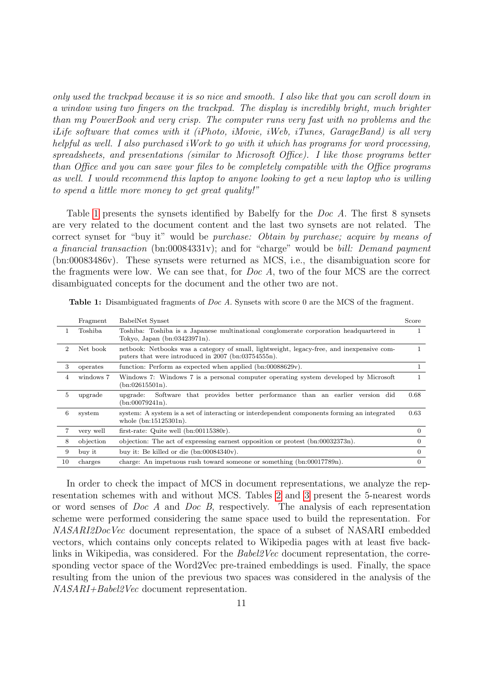only used the trackpad because it is so nice and smooth. I also like that you can scroll down in a window using two fingers on the trackpad. The display is incredibly bright, much brighter than my PowerBook and very crisp. The computer runs very fast with no problems and the iLife software that comes with it (iPhoto, iMovie, iWeb, iTunes, GarageBand) is all very helpful as well. I also purchased iWork to go with it which has programs for word processing, spreadsheets, and presentations (similar to Microsoft Office). I like those programs better than Office and you can save your files to be completely compatible with the Office programs as well. I would recommend this laptop to anyone looking to get a new laptop who is willing to spend a little more money to get great quality!"

Table [1](#page-11-0) presents the synsets identified by Babelfy for the *Doc A*. The first 8 synsets are very related to the document content and the last two synsets are not related. The correct synset for "buy it" would be *purchase: Obtain by purchase; acquire by means of* a financial transaction (bn:00084331v); and for "charge" would be bill: Demand payment (bn:00083486v). These synsets were returned as MCS, i.e., the disambiguation score for the fragments were low. We can see that, for *Doc A*, two of the four MCS are the correct disambiguated concepts for the document and the other two are not.

|                | Fragment  | BabelNet Synset                                                                                                                                  | Score    |
|----------------|-----------|--------------------------------------------------------------------------------------------------------------------------------------------------|----------|
| 1              | Toshiba   | Toshiba: Toshiba is a Japanese multinational conglomerate corporation headquartered in<br>Tokyo, Japan (bn:03423971n).                           |          |
| $\overline{2}$ | Net book  | netbook: Netbooks was a category of small, lightweight, legacy-free, and inexpensive com-<br>puters that were introduced in 2007 (bn:03754555n). |          |
| 3              | operates  | function: Perform as expected when applied $(bn:00088629v)$ .                                                                                    |          |
| 4              | windows 7 | Windows 7: Windows 7 is a personal computer operating system developed by Microsoft<br>(bn:02615501n).                                           |          |
| 5              | upgrade   | Software that provides better performance than an earlier version did<br>upgrade:<br>(bn:00079241n).                                             | 0.68     |
| 6              | system    | system: A system is a set of interacting or interdependent components forming an integrated<br>whole $(bn:15125301n)$ .                          | 0.63     |
|                | very well | first-rate: Quite well $(bn:00115380r)$ .                                                                                                        | 0        |
| 8              | objection | objection: The act of expressing earnest opposition or protest (bn:00032373n).                                                                   | $\theta$ |
| 9              | buy it    | buy it: Be killed or die $(bn:00084340v)$ .                                                                                                      | 0        |
| 10             | charges   | charge: An impetuous rush toward someone or something $(bn.00017789n)$ .                                                                         | 0        |

<span id="page-11-0"></span>Table 1: Disambiguated fragments of Doc A. Synsets with score 0 are the MCS of the fragment.

In order to check the impact of MCS in document representations, we analyze the representation schemes with and without MCS. Tables [2](#page-12-0) and [3](#page-13-0) present the 5-nearest words or word senses of Doc A and Doc B, respectively. The analysis of each representation scheme were performed considering the same space used to build the representation. For NASARI2DocVec document representation, the space of a subset of NASARI embedded vectors, which contains only concepts related to Wikipedia pages with at least five backlinks in Wikipedia, was considered. For the Babel2Vec document representation, the corresponding vector space of the Word2Vec pre-trained embeddings is used. Finally, the space resulting from the union of the previous two spaces was considered in the analysis of the NASARI+Babel2Vec document representation.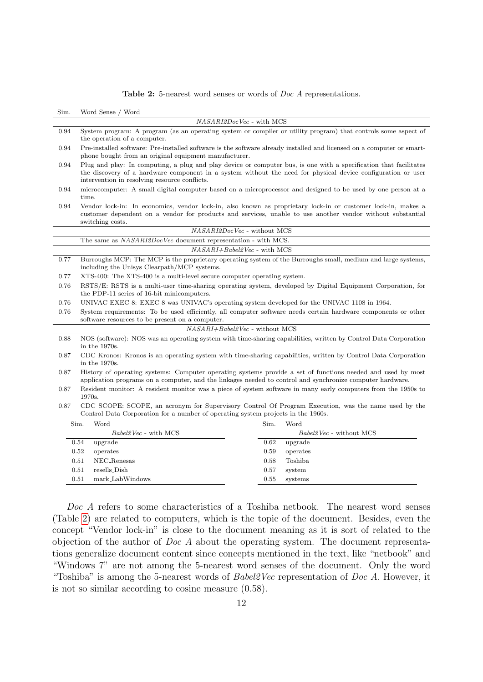Table 2: 5-nearest word senses or words of Doc A representations.

<span id="page-12-0"></span>Sim. Word Sense / Word

|      | <i>NASARI2DocVec</i> - with MCS                                                                                                                                                                                                                                                    |                         |  |  |  |  |  |
|------|------------------------------------------------------------------------------------------------------------------------------------------------------------------------------------------------------------------------------------------------------------------------------------|-------------------------|--|--|--|--|--|
| 0.94 | System program: A program (as an operating system or compiler or utility program) that controls some aspect of<br>the operation of a computer.                                                                                                                                     |                         |  |  |  |  |  |
| 0.94 | Pre-installed software: Pre-installed software is the software already installed and licensed on a computer or smart-<br>phone bought from an original equipment manufacturer.                                                                                                     |                         |  |  |  |  |  |
| 0.94 | Plug and play: In computing, a plug and play device or computer bus, is one with a specification that facilitates<br>the discovery of a hardware component in a system without the need for physical device configuration or user<br>intervention in resolving resource conflicts. |                         |  |  |  |  |  |
| 0.94 | microcomputer: A small digital computer based on a microprocessor and designed to be used by one person at a<br>time.                                                                                                                                                              |                         |  |  |  |  |  |
| 0.94 | Vendor lock-in: In economics, vendor lock-in, also known as proprietary lock-in or customer lock-in, makes a<br>customer dependent on a vendor for products and services, unable to use another vendor without substantial<br>switching costs.                                     |                         |  |  |  |  |  |
|      | NASARI2DocVec - without MCS                                                                                                                                                                                                                                                        |                         |  |  |  |  |  |
|      | The same as NASARI2DocVec document representation - with MCS.                                                                                                                                                                                                                      |                         |  |  |  |  |  |
|      | $\it NASARI\!+\!Babel2Vec$ - with MCS                                                                                                                                                                                                                                              |                         |  |  |  |  |  |
| 0.77 | Burroughs MCP: The MCP is the proprietary operating system of the Burroughs small, medium and large systems,<br>including the Unisys Clearpath/MCP systems.                                                                                                                        |                         |  |  |  |  |  |
| 0.77 | XTS-400: The XTS-400 is a multi-level secure computer operating system.                                                                                                                                                                                                            |                         |  |  |  |  |  |
| 0.76 | RSTS/E: RSTS is a multi-user time-sharing operating system, developed by Digital Equipment Corporation, for<br>the PDP-11 series of 16-bit minicomputers.                                                                                                                          |                         |  |  |  |  |  |
| 0.76 | UNIVAC EXEC 8: EXEC 8 was UNIVAC's operating system developed for the UNIVAC 1108 in 1964.                                                                                                                                                                                         |                         |  |  |  |  |  |
| 0.76 | System requirements: To be used efficiently, all computer software needs certain hardware components or other<br>software resources to be present on a computer.                                                                                                                   |                         |  |  |  |  |  |
|      | $NASARI+Babel2Vec$ - without MCS                                                                                                                                                                                                                                                   |                         |  |  |  |  |  |
| 0.88 | NOS (software): NOS was an operating system with time-sharing capabilities, written by Control Data Corporation<br>in the 1970s.                                                                                                                                                   |                         |  |  |  |  |  |
| 0.87 | CDC Kronos: Kronos is an operating system with time-sharing capabilities, written by Control Data Corporation<br>in the 1970s.                                                                                                                                                     |                         |  |  |  |  |  |
| 0.87 | History of operating systems: Computer operating systems provide a set of functions needed and used by most<br>application programs on a computer, and the linkages needed to control and synchronize computer hardware.                                                           |                         |  |  |  |  |  |
| 0.87 | Resident monitor: A resident monitor was a piece of system software in many early computers from the 1950s to<br>1970s.                                                                                                                                                            |                         |  |  |  |  |  |
| 0.87 | CDC SCOPE: SCOPE, an acronym for Supervisory Control Of Program Execution, was the name used by the<br>Control Data Corporation for a number of operating system projects in the 1960s.                                                                                            |                         |  |  |  |  |  |
|      | Word<br>Sim.                                                                                                                                                                                                                                                                       | Word<br>Sim.            |  |  |  |  |  |
|      | Babel2Vec - with MCS                                                                                                                                                                                                                                                               | Babel2Vec - without MCS |  |  |  |  |  |
|      | 0.54<br>upgrade                                                                                                                                                                                                                                                                    | 0.62<br>upgrade         |  |  |  |  |  |
|      | 0.52<br>0.59<br>operates<br>operates                                                                                                                                                                                                                                               |                         |  |  |  |  |  |

| 0.51 mark_LabWindows                                     | systems<br>0.55                                                                              |
|----------------------------------------------------------|----------------------------------------------------------------------------------------------|
|                                                          |                                                                                              |
|                                                          | <i>Doc A</i> refers to some characteristics of a Toshiba netbook. The nearest word senses    |
|                                                          | (Table 2) are related to computers, which is the topic of the document. Besides, even the    |
|                                                          | concept "Vendor lock-in" is close to the document meaning as it is sort of related to the    |
|                                                          | objection of the author of <i>Doc A</i> about the operating system. The document representa- |
|                                                          | tions generalize document content since concepts mentioned in the text, like "netbook" and   |
|                                                          | "Windows 7" are not among the 5-nearest word senses of the document. Only the word           |
|                                                          | "Toshiba" is among the 5-nearest words of Babel2Vec representation of Doc A. However, it     |
| is not so similar according to cosine measure $(0.58)$ . |                                                                                              |

0.51 NEC Renesas 0.58 Toshiba 0.51 resells Dish 0.57 system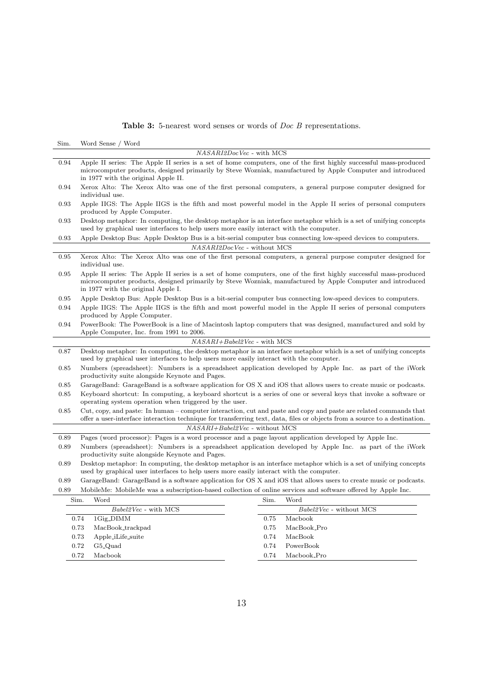# Table 3: 5-nearest word senses or words of  $Doc\ B$  representations.

<span id="page-13-0"></span>

| Sim. | Word Sense / Word                                                                                                                                                                                                                                                      |  |  |  |  |  |
|------|------------------------------------------------------------------------------------------------------------------------------------------------------------------------------------------------------------------------------------------------------------------------|--|--|--|--|--|
|      | NASARI2DocVec - with MCS                                                                                                                                                                                                                                               |  |  |  |  |  |
| 0.94 | Apple II series: The Apple II series is a set of home computers, one of the first highly successful mass-produced<br>microcomputer products, designed primarily by Steve Wozniak, manufactured by Apple Computer and introduced<br>in 1977 with the original Apple II. |  |  |  |  |  |
| 0.94 | Xerox Alto: The Xerox Alto was one of the first personal computers, a general purpose computer designed for<br>individual use.                                                                                                                                         |  |  |  |  |  |
| 0.93 | Apple IIGS: The Apple IIGS is the fifth and most powerful model in the Apple II series of personal computers<br>produced by Apple Computer.                                                                                                                            |  |  |  |  |  |
| 0.93 | Desktop metaphor: In computing, the desktop metaphor is an interface metaphor which is a set of unifying concepts<br>used by graphical user interfaces to help users more easily interact with the computer.                                                           |  |  |  |  |  |
| 0.93 | Apple Desktop Bus: Apple Desktop Bus is a bit-serial computer bus connecting low-speed devices to computers.                                                                                                                                                           |  |  |  |  |  |
|      | NASARI2DocVec - without MCS                                                                                                                                                                                                                                            |  |  |  |  |  |
| 0.95 | Xerox Alto: The Xerox Alto was one of the first personal computers, a general purpose computer designed for<br>individual use.                                                                                                                                         |  |  |  |  |  |
| 0.95 | Apple II series: The Apple II series is a set of home computers, one of the first highly successful mass-produced<br>microcomputer products, designed primarily by Steve Wozniak, manufactured by Apple Computer and introduced<br>in 1977 with the original Apple I.  |  |  |  |  |  |
| 0.95 | Apple Desktop Bus: Apple Desktop Bus is a bit-serial computer bus connecting low-speed devices to computers.                                                                                                                                                           |  |  |  |  |  |
| 0.94 | Apple IIGS: The Apple IIGS is the fifth and most powerful model in the Apple II series of personal computers<br>produced by Apple Computer.                                                                                                                            |  |  |  |  |  |
| 0.94 | PowerBook: The PowerBook is a line of Macintosh laptop computers that was designed, manufactured and sold by<br>Apple Computer, Inc. from 1991 to 2006.                                                                                                                |  |  |  |  |  |
|      | NASARI+Babel2Vec - with MCS                                                                                                                                                                                                                                            |  |  |  |  |  |
| 0.87 | Desktop metaphor: In computing, the desktop metaphor is an interface metaphor which is a set of unifying concepts<br>used by graphical user interfaces to help users more easily interact with the computer.                                                           |  |  |  |  |  |
| 0.85 | Numbers (spreadsheet): Numbers is a spreadsheet application developed by Apple Inc. as part of the iWork<br>productivity suite alongside Keynote and Pages.                                                                                                            |  |  |  |  |  |
| 0.85 | GarageBand: GarageBand is a software application for OS X and iOS that allows users to create music or podcasts.                                                                                                                                                       |  |  |  |  |  |
| 0.85 | Keyboard shortcut: In computing, a keyboard shortcut is a series of one or several keys that invoke a software or<br>operating system operation when triggered by the user.                                                                                            |  |  |  |  |  |
| 0.85 | Cut, copy, and paste: In human – computer interaction, cut and paste and copy and paste are related commands that<br>offer a user-interface interaction technique for transferring text, data, files or objects from a source to a destination.                        |  |  |  |  |  |
|      | NASARI+Babel2Vec - without MCS                                                                                                                                                                                                                                         |  |  |  |  |  |
| 0.89 | Pages (word processor): Pages is a word processor and a page layout application developed by Apple Inc.                                                                                                                                                                |  |  |  |  |  |
| 0.89 | Numbers (spreadsheet): Numbers is a spreadsheet application developed by Apple Inc. as part of the iWork<br>productivity suite alongside Keynote and Pages.                                                                                                            |  |  |  |  |  |
| 0.89 | Desktop metaphor: In computing, the desktop metaphor is an interface metaphor which is a set of unifying concepts<br>used by graphical user interfaces to help users more easily interact with the computer.                                                           |  |  |  |  |  |
| 0.89 | GarageBand: GarageBand is a software application for OS X and iOS that allows users to create music or podcasts.                                                                                                                                                       |  |  |  |  |  |
| 0.89 | MobileMe: MobileMe was a subscription-based collection of online services and software offered by Apple Inc.                                                                                                                                                           |  |  |  |  |  |
|      | Sim.<br>Word<br>Word<br>Sim.                                                                                                                                                                                                                                           |  |  |  |  |  |
|      | $Babel 2\mathit{Vec}$ - with MCS<br>Babel2Vec - without MCS                                                                                                                                                                                                            |  |  |  |  |  |
|      | 1Gig_DIMM<br>0.74<br>0.75<br>Macbook                                                                                                                                                                                                                                   |  |  |  |  |  |
|      | 0.73<br>0.75<br>MacBook_Pro<br>MacBook_trackpad                                                                                                                                                                                                                        |  |  |  |  |  |
|      | 0.73<br>Apple_iLife_suite<br>0.74<br>MacBook                                                                                                                                                                                                                           |  |  |  |  |  |
|      | 0.72<br>0.74<br>G5_Quad<br>PowerBook                                                                                                                                                                                                                                   |  |  |  |  |  |
|      | 0.72<br>0.74<br>Macbook<br>Macbook_Pro                                                                                                                                                                                                                                 |  |  |  |  |  |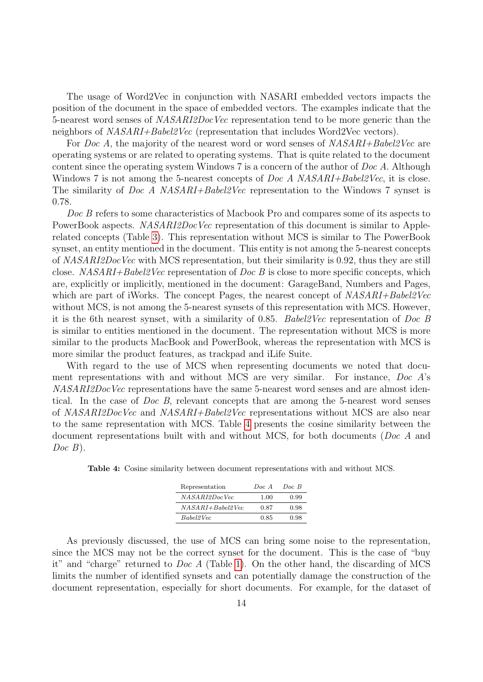The usage of Word2Vec in conjunction with NASARI embedded vectors impacts the position of the document in the space of embedded vectors. The examples indicate that the 5-nearest word senses of *NASARI2DocVec* representation tend to be more generic than the neighbors of  $NASARI+Babel2Vec$  (representation that includes Word2Vec vectors).

For *Doc A*, the majority of the nearest word or word senses of *NASARI+Babel2Vec* are operating systems or are related to operating systems. That is quite related to the document content since the operating system Windows 7 is a concern of the author of Doc A. Although Windows 7 is not among the 5-nearest concepts of *Doc A NASARI+Babel2Vec*, it is close. The similarity of *Doc A NASARI+Babel2Vec* representation to the Windows 7 synset is 0.78.

Doc B refers to some characteristics of Macbook Pro and compares some of its aspects to PowerBook aspects. NASARI2DocVec representation of this document is similar to Applerelated concepts (Table [3\)](#page-13-0). This representation without MCS is similar to The PowerBook synset, an entity mentioned in the document. This entity is not among the 5-nearest concepts of NASARI2DocVec with MCS representation, but their similarity is 0.92, thus they are still close.  $NASARI+Babel2Vec$  representation of *Doc B* is close to more specific concepts, which are, explicitly or implicitly, mentioned in the document: GarageBand, Numbers and Pages, which are part of iWorks. The concept Pages, the nearest concept of  $NASARI+Babel2Vec$ without MCS, is not among the 5-nearest synsets of this representation with MCS. However, it is the 6th nearest synset, with a similarity of 0.85. Babel2Vec representation of Doc B is similar to entities mentioned in the document. The representation without MCS is more similar to the products MacBook and PowerBook, whereas the representation with MCS is more similar the product features, as trackpad and iLife Suite.

With regard to the use of MCS when representing documents we noted that document representations with and without MCS are very similar. For instance, Doc A's NASARI2DocVec representations have the same 5-nearest word senses and are almost identical. In the case of Doc B, relevant concepts that are among the 5-nearest word senses of NASARI2DocVec and NASARI+Babel2Vec representations without MCS are also near to the same representation with MCS. Table [4](#page-14-0) presents the cosine similarity between the document representations built with and without MCS, for both documents (*Doc A* and  $Doc B$ ).

<span id="page-14-0"></span>Table 4: Cosine similarity between document representations with and without MCS.

| Representation     | Doc A | Doc B |
|--------------------|-------|-------|
| NASARI2DocVec      | 1.00  | 0.99  |
| $NASARI+Babel2Vec$ | 0.87  | 0.98  |
| Babel2Vec          | 0.85  | 0.98  |

As previously discussed, the use of MCS can bring some noise to the representation, since the MCS may not be the correct synset for the document. This is the case of "buy it" and "charge" returned to *Doc A* (Table [1\)](#page-11-0). On the other hand, the discarding of MCS limits the number of identified synsets and can potentially damage the construction of the document representation, especially for short documents. For example, for the dataset of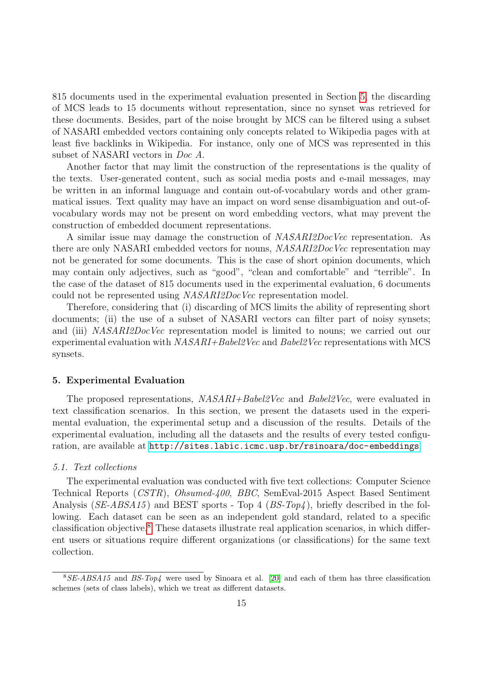815 documents used in the experimental evaluation presented in Section [5,](#page-15-0) the discarding of MCS leads to 15 documents without representation, since no synset was retrieved for these documents. Besides, part of the noise brought by MCS can be filtered using a subset of NASARI embedded vectors containing only concepts related to Wikipedia pages with at least five backlinks in Wikipedia. For instance, only one of MCS was represented in this subset of NASARI vectors in Doc A.

Another factor that may limit the construction of the representations is the quality of the texts. User-generated content, such as social media posts and e-mail messages, may be written in an informal language and contain out-of-vocabulary words and other grammatical issues. Text quality may have an impact on word sense disambiguation and out-ofvocabulary words may not be present on word embedding vectors, what may prevent the construction of embedded document representations.

A similar issue may damage the construction of NASARI2DocVec representation. As there are only NASARI embedded vectors for nouns, NASARI2DocVec representation may not be generated for some documents. This is the case of short opinion documents, which may contain only adjectives, such as "good", "clean and comfortable" and "terrible". In the case of the dataset of 815 documents used in the experimental evaluation, 6 documents could not be represented using *NASARI2DocVec* representation model.

Therefore, considering that (i) discarding of MCS limits the ability of representing short documents; (ii) the use of a subset of NASARI vectors can filter part of noisy synsets; and (iii) NASARI2DocVec representation model is limited to nouns; we carried out our experimental evaluation with NASARI+Babel2Vec and Babel2Vec representations with MCS synsets.

# <span id="page-15-0"></span>5. Experimental Evaluation

The proposed representations, NASARI+Babel2Vec and Babel2Vec, were evaluated in text classification scenarios. In this section, we present the datasets used in the experimental evaluation, the experimental setup and a discussion of the results. Details of the experimental evaluation, including all the datasets and the results of every tested configuration, are available at <http://sites.labic.icmc.usp.br/rsinoara/doc-embeddings>.

# 5.1. Text collections

The experimental evaluation was conducted with five text collections: Computer Science Technical Reports (CSTR), Ohsumed-400, BBC, SemEval-2015 Aspect Based Sentiment Analysis (*SE-ABSA15*) and BEST sports - Top 4 (*BS-Top4*), briefly described in the following. Each dataset can be seen as an independent gold standard, related to a specific classification objective.[8](#page-15-1) These datasets illustrate real application scenarios, in which different users or situations require different organizations (or classifications) for the same text collection.

<span id="page-15-1"></span> $8SE-ABSAI5$  and BS-Top4 were used by Sinoara et al. [\[20\]](#page-32-4) and each of them has three classification schemes (sets of class labels), which we treat as different datasets.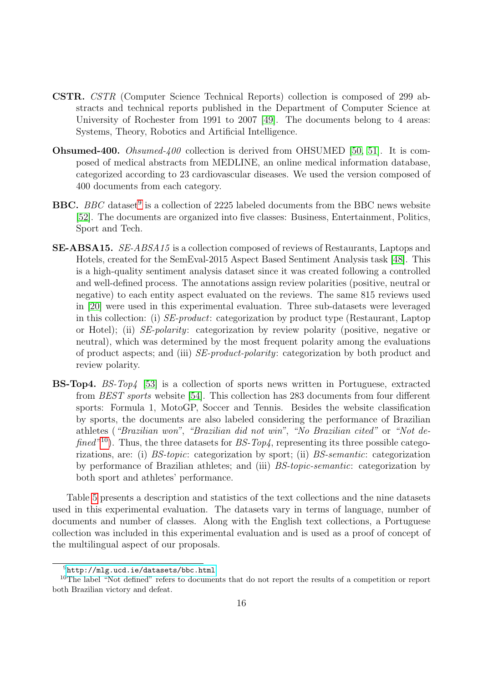- CSTR. CSTR (Computer Science Technical Reports) collection is composed of 299 abstracts and technical reports published in the Department of Computer Science at University of Rochester from 1991 to 2007 [\[49\]](#page-33-12). The documents belong to 4 areas: Systems, Theory, Robotics and Artificial Intelligence.
- Ohsumed-400. Ohsumed-400 collection is derived from OHSUMED [\[50,](#page-33-13) [51\]](#page-33-14). It is composed of medical abstracts from MEDLINE, an online medical information database, categorized according to 23 cardiovascular diseases. We used the version composed of 400 documents from each category.
- **BBC.** BBC dataset<sup>[9](#page-16-0)</sup> is a collection of 2225 labeled documents from the BBC news website [\[52\]](#page-33-15). The documents are organized into five classes: Business, Entertainment, Politics, Sport and Tech.
- SE-ABSA15. SE-ABSA15 is a collection composed of reviews of Restaurants, Laptops and Hotels, created for the SemEval-2015 Aspect Based Sentiment Analysis task [\[48\]](#page-33-11). This is a high-quality sentiment analysis dataset since it was created following a controlled and well-defined process. The annotations assign review polarities (positive, neutral or negative) to each entity aspect evaluated on the reviews. The same 815 reviews used in [\[20\]](#page-32-4) were used in this experimental evaluation. Three sub-datasets were leveraged in this collection: (i) SE-product: categorization by product type (Restaurant, Laptop or Hotel); (ii) SE-polarity: categorization by review polarity (positive, negative or neutral), which was determined by the most frequent polarity among the evaluations of product aspects; and (iii) SE-product-polarity: categorization by both product and review polarity.
- BS-Top4. BS-Top4 [\[53\]](#page-33-16) is a collection of sports news written in Portuguese, extracted from BEST sports website [\[54\]](#page-33-17). This collection has 283 documents from four different sports: Formula 1, MotoGP, Soccer and Tennis. Besides the website classification by sports, the documents are also labeled considering the performance of Brazilian athletes ("Brazilian won", "Brazilian did not win", "No Brazilian cited" or "Not de-fined<sup>"[10](#page-16-1)</sup>). Thus, the three datasets for BS-Top4, representing its three possible categorizations, are: (i) BS-topic: categorization by sport; (ii) BS-semantic: categorization by performance of Brazilian athletes; and (iii) BS-topic-semantic: categorization by both sport and athletes' performance.

Table [5](#page-17-0) presents a description and statistics of the text collections and the nine datasets used in this experimental evaluation. The datasets vary in terms of language, number of documents and number of classes. Along with the English text collections, a Portuguese collection was included in this experimental evaluation and is used as a proof of concept of the multilingual aspect of our proposals.

<span id="page-16-1"></span><span id="page-16-0"></span> $9$ <http://mlg.ucd.ie/datasets/bbc.html>

<sup>&</sup>lt;sup>10</sup>The label "Not defined" refers to documents that do not report the results of a competition or report both Brazilian victory and defeat.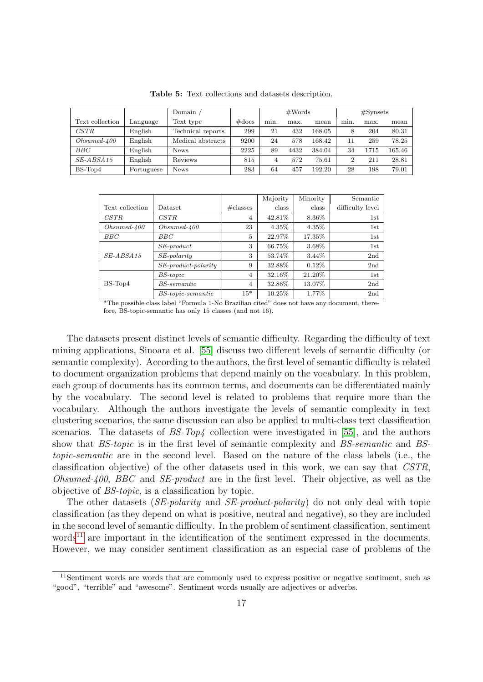<span id="page-17-0"></span>

|                 |            | Domain            |                   |      | $\#\text{Words}$ |        |      | #Synsets |        |
|-----------------|------------|-------------------|-------------------|------|------------------|--------|------|----------|--------|
| Text collection | Language   | Text type         | $\#\mathrm{docs}$ | min. | max.             | mean   | min. | max.     | mean   |
| CSTR            | English    | Technical reports | 299               | 21   | 432              | 168.05 | 8    | 204      | 80.31  |
| $Ohsumed-400$   | English    | Medical abstracts | 9200              | 24   | 578              | 168.42 | 11   | 259      | 78.25  |
| $_{BBC}$        | English    | News              | 2225              | 89   | 4432             | 384.04 | 34   | 1715     | 165.46 |
| $SE-ABSA15$     | English    | Reviews           | 815               |      | 572              | 75.61  | 2    | 211      | 28.81  |
| BS-Top4         | Portuguese | News              | 283               | 64   | 457              | 192.20 | 28   | 198      | 79.01  |

Table 5: Text collections and datasets description.

|                 |                                   |                | Majority | Minority | Semantic         |
|-----------------|-----------------------------------|----------------|----------|----------|------------------|
| Text collection | Dataset                           | $\#$ classes   | class    | class    | difficulty level |
| CSTR            | CSTR                              | $\overline{4}$ | 42.81\%  | 8.36%    | 1st              |
| $Ohsumed-400$   | $Ohsumed-400$                     | 23             | 4.35%    | 4.35%    | 1st              |
| BBC             | <b>BBC</b>                        | 5              | 22.97%   | 17.35%   | 1st              |
|                 | $SE$ -product                     | 3              | 66.75%   | 3.68%    | 1st              |
| $SE-ABSA15$     | $SE$ -polarity                    | 3              | 53.74%   | 3.44\%   | 2nd              |
|                 | $SE$ -product-polarity            | 9              | 32.88%   | $0.12\%$ | 2nd              |
|                 | $BS\text{-}topic$                 | $\overline{4}$ | 32.16\%  | 21.20\%  | 1st              |
| $BS-Top4$       | BS-semantic                       | $\overline{4}$ | 32.86%   | 13.07%   | 2nd              |
|                 | $BS\text{-}topic\text{-}semantic$ | $15*$          | 10.25%   | 1.77%    | 2nd              |

\*The possible class label "Formula 1-No Brazilian cited" does not have any document, therefore, BS-topic-semantic has only 15 classes (and not 16).

The datasets present distinct levels of semantic difficulty. Regarding the difficulty of text mining applications, Sinoara et al. [\[55\]](#page-33-18) discuss two different levels of semantic difficulty (or semantic complexity). According to the authors, the first level of semantic difficulty is related to document organization problems that depend mainly on the vocabulary. In this problem, each group of documents has its common terms, and documents can be differentiated mainly by the vocabulary. The second level is related to problems that require more than the vocabulary. Although the authors investigate the levels of semantic complexity in text clustering scenarios, the same discussion can also be applied to multi-class text classification scenarios. The datasets of BS-Top4 collection were investigated in [\[55\]](#page-33-18), and the authors show that *BS-topic* is in the first level of semantic complexity and *BS-semantic* and *BS*topic-semantic are in the second level. Based on the nature of the class labels (i.e., the classification objective) of the other datasets used in this work, we can say that CSTR, *Ohsumed-400, BBC* and *SE-product* are in the first level. Their objective, as well as the objective of BS-topic, is a classification by topic.

The other datasets *(SE-polarity and SE-product-polarity)* do not only deal with topic classification (as they depend on what is positive, neutral and negative), so they are included in the second level of semantic difficulty. In the problem of sentiment classification, sentiment  $words<sup>11</sup>$  $words<sup>11</sup>$  $words<sup>11</sup>$  are important in the identification of the sentiment expressed in the documents. However, we may consider sentiment classification as an especial case of problems of the

<span id="page-17-1"></span><sup>11</sup>Sentiment words are words that are commonly used to express positive or negative sentiment, such as "good", "terrible" and "awesome". Sentiment words usually are adjectives or adverbs.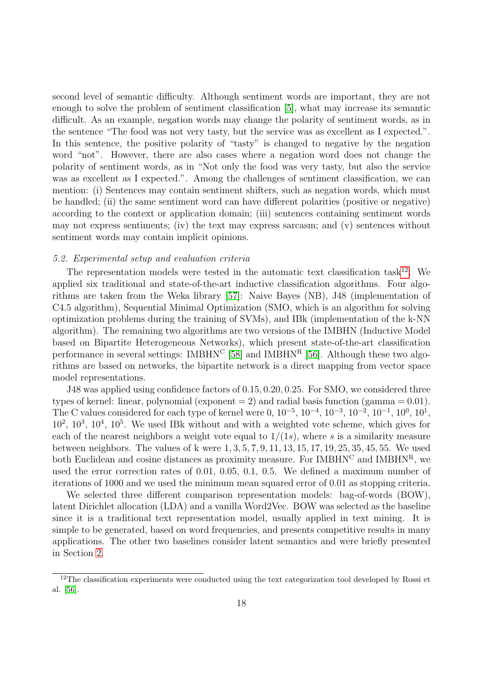second level of semantic difficulty. Although sentiment words are important, they are not enough to solve the problem of sentiment classification [\[5\]](#page-31-4), what may increase its semantic difficult. As an example, negation words may change the polarity of sentiment words, as in the sentence "The food was not very tasty, but the service was as excellent as I expected.". In this sentence, the positive polarity of "tasty" is changed to negative by the negation word "not". However, there are also cases where a negation word does not change the polarity of sentiment words, as in "Not only the food was very tasty, but also the service was as excellent as I expected.". Among the challenges of sentiment classification, we can mention: (i) Sentences may contain sentiment shifters, such as negation words, which must be handled; (ii) the same sentiment word can have different polarities (positive or negative) according to the context or application domain; (iii) sentences containing sentiment words may not express sentiments; (iv) the text may express sarcasm; and (v) sentences without sentiment words may contain implicit opinions.

# 5.2. Experimental setup and evaluation criteria

The representation models were tested in the automatic text classification task<sup>[12](#page-18-0)</sup>. We applied six traditional and state-of-the-art inductive classification algorithms. Four algorithms are taken from the Weka library [\[57\]](#page-34-0): Naive Bayes (NB), J48 (implementation of C4.5 algorithm), Sequential Minimal Optimization (SMO, which is an algorithm for solving optimization problems during the training of SVMs), and IBk (implementation of the k-NN algorithm). The remaining two algorithms are two versions of the IMBHN (Inductive Model based on Bipartite Heterogeneous Networks), which present state-of-the-art classification performance in several settings:  $IMBHN^C$  [\[58\]](#page-34-1) and  $IMBHN^R$  [\[56\]](#page-34-2). Although these two algorithms are based on networks, the bipartite network is a direct mapping from vector space model representations.

J48 was applied using confidence factors of 0.15, 0.20, 0.25. For SMO, we considered three types of kernel: linear, polynomial (exponent  $= 2$ ) and radial basis function (gamma  $= 0.01$ ). The C values considered for each type of kernel were  $0, 10^{-5}, 10^{-4}, 10^{-3}, 10^{-2}, 10^{-1}, 10^{0}, 10^{1}$ ,  $10^2$ ,  $10^3$ ,  $10^4$ ,  $10^5$ . We used IBk without and with a weighted vote scheme, which gives for each of the nearest neighbors a weight vote equal to  $1/(1s)$ , where s is a similarity measure between neighbors. The values of k were 1, 3, 5, 7, 9, 11, 13, 15, 17, 19, 25, 35, 45, 55. We used both Euclidean and cosine distances as proximity measure. For  $IMBHN<sup>C</sup>$  and  $IMBHN<sup>R</sup>$ , we used the error correction rates of 0.01, 0.05, 0.1, 0.5. We defined a maximum number of iterations of 1000 and we used the minimum mean squared error of 0.01 as stopping criteria.

We selected three different comparison representation models: bag-of-words (BOW), latent Dirichlet allocation (LDA) and a vanilla Word2Vec. BOW was selected as the baseline since it is a traditional text representation model, usually applied in text mining. It is simple to be generated, based on word frequencies, and presents competitive results in many applications. The other two baselines consider latent semantics and were briefly presented in Section [2.](#page-4-0)

<span id="page-18-0"></span> $12$ The classification experiments were conducted using the text categorization tool developed by Rossi et al. [\[56\]](#page-34-2).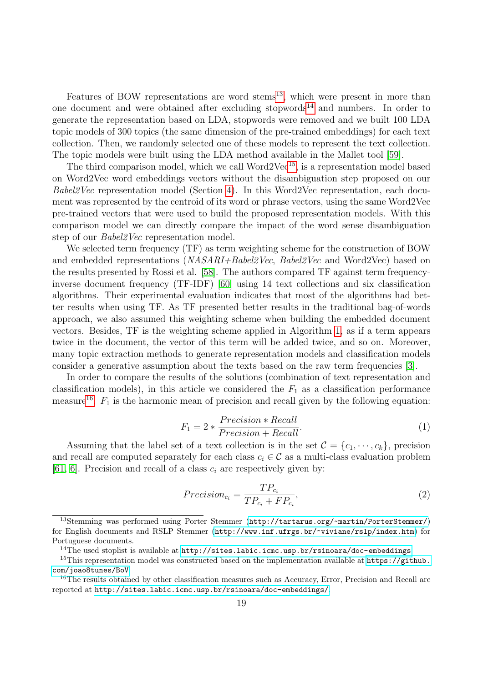Features of BOW representations are word stems<sup>[13](#page-19-0)</sup>, which were present in more than one document and were obtained after excluding stopwords<sup>[14](#page-19-1)</sup> and numbers. In order to generate the representation based on LDA, stopwords were removed and we built 100 LDA topic models of 300 topics (the same dimension of the pre-trained embeddings) for each text collection. Then, we randomly selected one of these models to represent the text collection. The topic models were built using the LDA method available in the Mallet tool [\[59\]](#page-34-3).

The third comparison model, which we call  $Word2Vec^{15}$  $Word2Vec^{15}$  $Word2Vec^{15}$ , is a representation model based on Word2Vec word embeddings vectors without the disambiguation step proposed on our Babel2Vec representation model (Section [4\)](#page-7-0). In this Word2Vec representation, each document was represented by the centroid of its word or phrase vectors, using the same Word2Vec pre-trained vectors that were used to build the proposed representation models. With this comparison model we can directly compare the impact of the word sense disambiguation step of our *Babel2Vec* representation model.

We selected term frequency (TF) as term weighting scheme for the construction of BOW and embedded representations (NASARI+Babel2Vec, Babel2Vec and Word2Vec) based on the results presented by Rossi et al. [\[58\]](#page-34-1). The authors compared TF against term frequencyinverse document frequency (TF-IDF) [\[60\]](#page-34-4) using 14 text collections and six classification algorithms. Their experimental evaluation indicates that most of the algorithms had better results when using TF. As TF presented better results in the traditional bag-of-words approach, we also assumed this weighting scheme when building the embedded document vectors. Besides, TF is the weighting scheme applied in Algorithm [1,](#page-9-1) as if a term appears twice in the document, the vector of this term will be added twice, and so on. Moreover, many topic extraction methods to generate representation models and classification models consider a generative assumption about the texts based on the raw term frequencies [\[3\]](#page-31-2).

In order to compare the results of the solutions (combination of text representation and classification models), in this article we considered the  $F_1$  as a classification performance measure<sup>[16](#page-19-3)</sup>.  $F_1$  is the harmonic mean of precision and recall given by the following equation:

$$
F_1 = 2 * \frac{Precision * Recall}{Precision + Recall}.
$$
\n(1)

Assuming that the label set of a text collection is in the set  $\mathcal{C} = \{c_1, \dots, c_k\}$ , precision and recall are computed separately for each class  $c_i \in \mathcal{C}$  as a multi-class evaluation problem [\[61,](#page-34-5) [6\]](#page-31-5). Precision and recall of a class  $c_i$  are respectively given by:

$$
Precision_{c_i} = \frac{TP_{c_i}}{TP_{c_i} + FP_{c_i}},\tag{2}
$$

<span id="page-19-0"></span><sup>13</sup>Stemming was performed using Porter Stemmer (<http://tartarus.org/~martin/PorterStemmer/>) for English documents and RSLP Stemmer (<http://www.inf.ufrgs.br/~viviane/rslp/index.htm>) for Portuguese documents.

<span id="page-19-2"></span><span id="page-19-1"></span><sup>&</sup>lt;sup>14</sup>The used stoplist is available at  $http://sitesrlabel.c.$ .icmc.usp.br/rsinoara/doc-embeddings

<sup>&</sup>lt;sup>15</sup>This representation model was constructed based on the implementation available at [https://github.](https://github.com/joao8tunes/BoV) [com/joao8tunes/BoV](https://github.com/joao8tunes/BoV)

<span id="page-19-3"></span><sup>&</sup>lt;sup>16</sup>The results obtained by other classification measures such as Accuracy, Error, Precision and Recall are reported at <http://sites.labic.icmc.usp.br/rsinoara/doc-embeddings/>.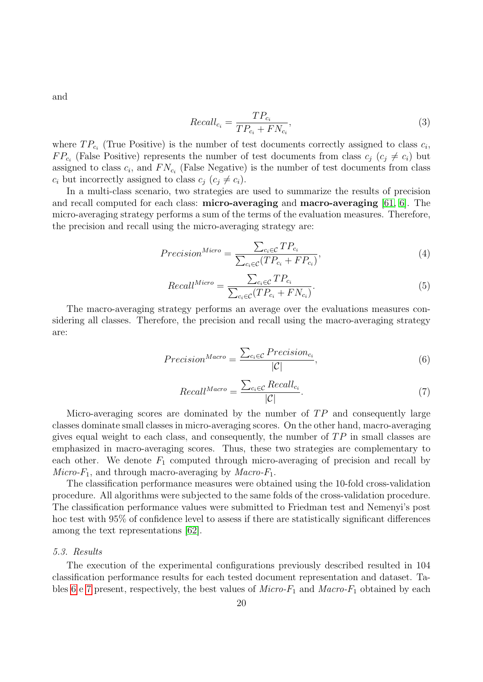and

$$
Recall_{c_i} = \frac{TP_{c_i}}{TP_{c_i} + FN_{c_i}},\tag{3}
$$

where  $TP_{c_i}$  (True Positive) is the number of test documents correctly assigned to class  $c_i$ ,  $FP_{c_i}$  (False Positive) represents the number of test documents from class  $c_j$   $(c_j \neq c_i)$  but assigned to class  $c_i$ , and  $FN_{c_i}$  (False Negative) is the number of test documents from class  $c_i$  but incorrectly assigned to class  $c_j$   $(c_j \neq c_i)$ .

In a multi-class scenario, two strategies are used to summarize the results of precision and recall computed for each class: micro-averaging and macro-averaging [\[61,](#page-34-5) [6\]](#page-31-5). The micro-averaging strategy performs a sum of the terms of the evaluation measures. Therefore, the precision and recall using the micro-averaging strategy are:

$$
Precision^{Micro} = \frac{\sum_{c_i \in \mathcal{C}} TP_{c_i}}{\sum_{c_i \in \mathcal{C}} (TP_{c_i} + FP_{c_i})},\tag{4}
$$

$$
Recall^{Micro} = \frac{\sum_{c_i \in \mathcal{C}} TP_{c_i}}{\sum_{c_i \in \mathcal{C}} (TP_{c_i} + FN_{c_i})}.
$$
\n
$$
(5)
$$

The macro-averaging strategy performs an average over the evaluations measures considering all classes. Therefore, the precision and recall using the macro-averaging strategy are:

$$
Precision^{Macro} = \frac{\sum_{c_i \in \mathcal{C}} Precision_{c_i}}{|\mathcal{C}|},\tag{6}
$$

$$
Recall^{Macro} = \frac{\sum_{c_i \in \mathcal{C}} Recall_{c_i}}{|\mathcal{C}|}.
$$
\n
$$
(7)
$$

Micro-averaging scores are dominated by the number of  $TP$  and consequently large classes dominate small classes in micro-averaging scores. On the other hand, macro-averaging gives equal weight to each class, and consequently, the number of  $TP$  in small classes are emphasized in macro-averaging scores. Thus, these two strategies are complementary to each other. We denote  $F_1$  computed through micro-averaging of precision and recall by Micro- $F_1$ , and through macro-averaging by Macro- $F_1$ .

The classification performance measures were obtained using the 10-fold cross-validation procedure. All algorithms were subjected to the same folds of the cross-validation procedure. The classification performance values were submitted to Friedman test and Nemenyi's post hoc test with 95% of confidence level to assess if there are statistically significant differences among the text representations [\[62\]](#page-34-6).

# 5.3. Results

The execution of the experimental configurations previously described resulted in 104 classification performance results for each tested document representation and dataset. Ta-bles [6](#page-21-0) e [7](#page-22-0) present, respectively, the best values of  $Micro-F_1$  and  $Macro-F_1$  obtained by each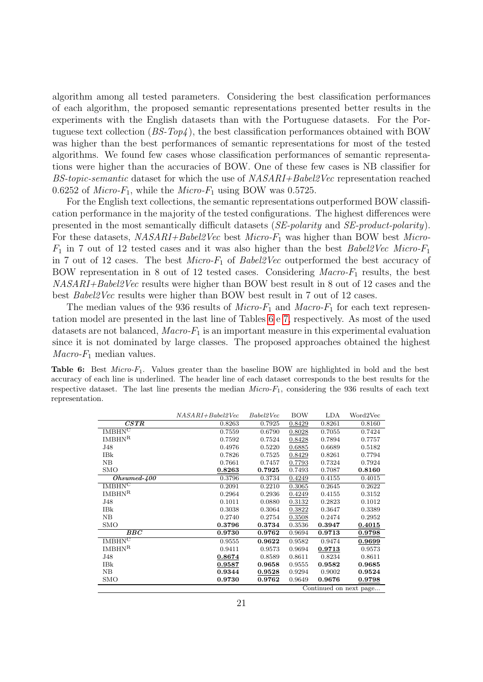algorithm among all tested parameters. Considering the best classification performances of each algorithm, the proposed semantic representations presented better results in the experiments with the English datasets than with the Portuguese datasets. For the Portuguese text collection  $(BS-Top4)$ , the best classification performances obtained with BOW was higher than the best performances of semantic representations for most of the tested algorithms. We found few cases whose classification performances of semantic representations were higher than the accuracies of BOW. One of these few cases is NB classifier for BS-topic-semantic dataset for which the use of  $NASARI+Babel2Vec$  representation reached 0.6252 of *Micro-F*<sub>1</sub>, while the *Micro-F*<sub>1</sub> using BOW was 0.5725.

For the English text collections, the semantic representations outperformed BOW classification performance in the majority of the tested configurations. The highest differences were presented in the most semantically difficult datasets (SE-polarity and SE-product-polarity). For these datasets,  $NASARI+Babel2Vec$  best  $Micro-F<sub>1</sub>$  was higher than BOW best Micro- $F_1$  in 7 out of 12 tested cases and it was also higher than the best *Babel2Vec Micro-F*<sub>1</sub> in 7 out of 12 cases. The best  $Micro-F_1$  of Babel2Vec outperformed the best accuracy of BOW representation in 8 out of 12 tested cases. Considering  $Macco-F_1$  results, the best NASARI+Babel2Vec results were higher than BOW best result in 8 out of 12 cases and the best Babel2Vec results were higher than BOW best result in 7 out of 12 cases.

The median values of the 936 results of  $Micro-F_1$  and  $Macro-F_1$  for each text representation model are presented in the last line of Tables [6](#page-21-0) e [7,](#page-22-0) respectively. As most of the used datasets are not balanced,  $Maccr$ - $F_1$  is an important measure in this experimental evaluation since it is not dominated by large classes. The proposed approaches obtained the highest  $Macro-F<sub>1</sub>$  median values.

<span id="page-21-0"></span>**Table 6:** Best *Micro-F*<sub>1</sub>. Values greater than the baseline BOW are highlighted in bold and the best accuracy of each line is underlined. The header line of each dataset corresponds to the best results for the respective dataset. The last line presents the median  $Micro-F<sub>1</sub>$ , considering the 936 results of each text representation.

|                          | $NASARI+Babel2Vec$ | Babel2Vec | <b>BOW</b> | <b>LDA</b> | Word2Vec               |
|--------------------------|--------------------|-----------|------------|------------|------------------------|
| CSTR                     | 0.8263             | 0.7925    | 0.8429     | 0.8261     | 0.8160                 |
| <b>IMBHN<sup>C</sup></b> | 0.7559             | 0.6790    | 0.8028     | 0.7055     | 0.7424                 |
| <b>IMBHN<sup>R</sup></b> | 0.7592             | 0.7524    | 0.8428     | 0.7894     | 0.7757                 |
| J48                      | 0.4976             | 0.5220    | 0.6885     | 0.6689     | 0.5182                 |
| <b>IBk</b>               | 0.7826             | 0.7525    | 0.8429     | 0.8261     | 0.7794                 |
| NB                       | 0.7661             | 0.7457    | 0.7793     | 0.7324     | 0.7924                 |
| <b>SMO</b>               | 0.8263             | 0.7925    | 0.7493     | 0.7087     | 0.8160                 |
| $Ohsumed-400$            | 0.3796             | 0.3734    | 0.4249     | 0.4155     | 0.4015                 |
| <b>IMBHN<sup>C</sup></b> | 0.2091             | 0.2210    | 0.3065     | 0.2645     | 0.2622                 |
| <b>IMBHNR</b>            | 0.2964             | 0.2936    | 0.4249     | 0.4155     | 0.3152                 |
| J48                      | 0.1011             | 0.0880    | 0.3132     | 0.2823     | 0.1012                 |
| <b>IBk</b>               | 0.3038             | 0.3064    | 0.3822     | 0.3647     | 0.3389                 |
| NB                       | 0.2740             | 0.2754    | 0.3508     | 0.2474     | 0.2952                 |
| <b>SMO</b>               | 0.3796             | 0.3734    | 0.3536     | 0.3947     | 0.4015                 |
| $_{BBC}$                 | 0.9730             | 0.9762    | 0.9694     | 0.9713     | 0.9798                 |
| <b>IMBHN<sup>C</sup></b> | 0.9555             | 0.9622    | 0.9582     | 0.9474     | 0.9699                 |
| <b>IMBHNR</b>            | 0.9411             | 0.9573    | 0.9694     | 0.9713     | 0.9573                 |
| J48                      | 0.8674             | 0.8589    | 0.8611     | 0.8234     | 0.8611                 |
| IBk                      | 0.9587             | 0.9658    | 0.9555     | 0.9582     | 0.9685                 |
| NB                       | 0.9344             | 0.9528    | 0.9294     | 0.9002     | 0.9524                 |
| SMO                      | 0.9730             | 0.9762    | 0.9649     | 0.9676     | 0.9798                 |
|                          |                    |           |            |            | Continued on next page |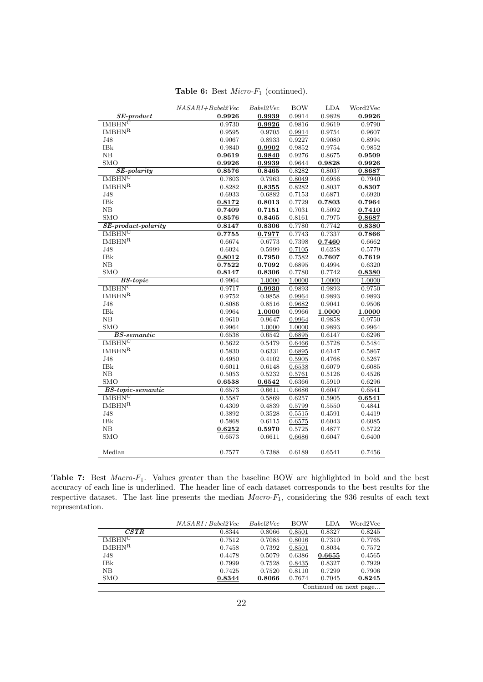|  |  | <b>Table 6:</b> Best $Micro-F_1$ (continued). |  |  |
|--|--|-----------------------------------------------|--|--|
|--|--|-----------------------------------------------|--|--|

|                          | $NASARI + Babel2Vec$ | Babel 2Vec | <b>BOW</b> | LDA    | Word2Vec |
|--------------------------|----------------------|------------|------------|--------|----------|
| $SE$ -product            | 0.9926               | 0.9939     | 0.9914     | 0.9828 | 0.9926   |
| <b>IMBHN<sup>C</sup></b> | 0.9730               | 0.9926     | 0.9816     | 0.9619 | 0.9790   |
| IMBHN <sup>R</sup>       | 0.9595               | 0.9705     | 0.9914     | 0.9754 | 0.9607   |
| <b>J48</b>               | 0.9067               | 0.8933     | 0.9227     | 0.9080 | 0.8994   |
| IBk                      | 0.9840               | 0.9902     | 0.9852     | 0.9754 | 0.9852   |
| NB                       | 0.9619               | 0.9840     | 0.9276     | 0.8675 | 0.9509   |
| <b>SMO</b>               | 0.9926               | 0.9939     | 0.9644     | 0.9828 | 0.9926   |
| $SE$ -polarity           | 0.8576               | 0.8465     | 0.8282     | 0.8037 | 0.8687   |
| <b>IMBHN<sup>C</sup></b> | 0.7803               | 0.7963     | 0.8049     | 0.6956 | 0.7940   |
| IMBHN <sup>R</sup>       | 0.8282               | 0.8355     | 0.8282     | 0.8037 | 0.8307   |
| J48                      | 0.6933               | 0.6882     | 0.7153     | 0.6871 | 0.6920   |
| IBk                      | 0.8172               | 0.8013     | 0.7729     | 0.7803 | 0.7964   |
| NB                       | 0.7409               | 0.7151     | 0.7031     | 0.5092 | 0.7410   |
| <b>SMO</b>               | 0.8576               | 0.8465     | 0.8161     | 0.7975 | 0.8687   |
| $SE$ -product-polarity   | 0.8147               | 0.8306     | 0.7780     | 0.7742 | 0.8380   |
| <b>IMBHN<sup>C</sup></b> | 0.7755               | 0.7977     | 0.7743     | 0.7337 | 0.7866   |
| <b>IMBHNR</b>            | 0.6674               | 0.6773     | 0.7398     | 0.7460 | 0.6662   |
| <b>J48</b>               | 0.6024               | 0.5999     | 0.7105     | 0.6258 | 0.5779   |
| IBk                      | 0.8012               | 0.7950     | 0.7582     | 0.7607 | 0.7619   |
| NB                       | 0.7522               | 0.7092     | 0.6895     | 0.4994 | 0.6320   |
| <b>SMO</b>               | 0.8147               | 0.8306     | 0.7780     | 0.7742 | 0.8380   |
| <b>BS-topic</b>          | 0.9964               | 1.0000     | 1.0000     | 1.0000 | 1.0000   |
| <b>IMBHN<sup>C</sup></b> | 0.9717               | 0.9930     | 0.9893     | 0.9893 | 0.9750   |
| IMBHN <sup>R</sup>       | 0.9752               | 0.9858     | 0.9964     | 0.9893 | 0.9893   |
| J48                      | 0.8086               | 0.8516     | 0.9682     | 0.9041 | 0.9506   |
| IBk                      | 0.9964               | 1.0000     | 0.9966     | 1.0000 | 1.0000   |
| NB                       | 0.9610               | 0.9647     | 0.9964     | 0.9858 | 0.9750   |
| <b>SMO</b>               | 0.9964               | 1.0000     | 1.0000     | 0.9893 | 0.9964   |
| $BS-semantic$            | 0.6538               | 0.6542     | 0.6895     | 0.6147 | 0.6296   |
| <b>IMBHN<sup>C</sup></b> | 0.5622               | 0.5479     | 0.6466     | 0.5728 | 0.5484   |
| IMBHN <sup>R</sup>       | 0.5830               | 0.6331     | 0.6895     | 0.6147 | 0.5867   |
| <b>J48</b>               | 0.4950               | 0.4102     | 0.5905     | 0.4768 | 0.5267   |
| IBk                      | 0.6011               | 0.6148     | 0.6538     | 0.6079 | 0.6085   |
| NB                       | 0.5053               | 0.5232     | 0.5761     | 0.5126 | 0.4526   |
| <b>SMO</b>               | 0.6538               | 0.6542     | 0.6366     | 0.5910 | 0.6296   |
| <b>BS-topic-semantic</b> | 0.6573               | 0.6611     | 0.6686     | 0.6047 | 0.6541   |
| <b>IMBHN<sup>C</sup></b> | 0.5587               | 0.5869     | 0.6257     | 0.5905 | 0.6541   |
| <b>IMBHNR</b>            | 0.4309               | 0.4839     | 0.5799     | 0.5550 | 0.4841   |
| J48                      | 0.3892               | 0.3528     | 0.5515     | 0.4591 | 0.4419   |
| IBk                      | 0.5868               | 0.6115     | 0.6575     | 0.6043 | 0.6085   |
| NB                       | 0.6252               | 0.5970     | 0.5725     | 0.4877 | 0.5722   |
| SMO                      | 0.6573               | 0.6611     | 0.6686     | 0.6047 | 0.6400   |
|                          |                      |            |            |        |          |
| Median                   | 0.7577               | 0.7388     | 0.6189     | 0.6541 | 0.7456   |

<span id="page-22-0"></span>Table 7: Best Macro-F<sub>1</sub>. Values greater than the baseline BOW are highlighted in bold and the best accuracy of each line is underlined. The header line of each dataset corresponds to the best results for the respective dataset. The last line presents the median  $Macco-F_1$ , considering the 936 results of each text representation.

|                          | $NASARI+Babel2Vec$ | Babel2Vec | BOW    | LDA    | Word2Vec               |
|--------------------------|--------------------|-----------|--------|--------|------------------------|
| CSTR                     | 0.8344             | 0.8066    | 0.8501 | 0.8327 | 0.8245                 |
| <b>IMBHN<sup>C</sup></b> | 0.7512             | 0.7085    | 0.8016 | 0.7310 | 0.7765                 |
| <b>IMBHN<sup>R</sup></b> | 0.7458             | 0.7392    | 0.8501 | 0.8034 | 0.7572                 |
| J48                      | 0.4478             | 0.5079    | 0.6386 | 0.6655 | 0.4565                 |
| <b>IBk</b>               | 0.7999             | 0.7528    | 0.8435 | 0.8327 | 0.7929                 |
| NB                       | 0.7425             | 0.7520    | 0.8110 | 0.7299 | 0.7906                 |
| <b>SMO</b>               | 0.8344             | 0.8066    | 0.7674 | 0.7045 | 0.8245                 |
|                          |                    |           |        |        | Continued on next page |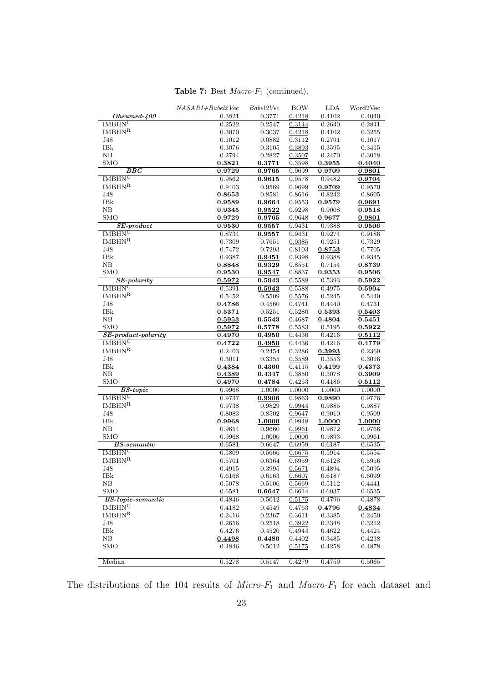Table 7: Best  $\mathit{Macro-F}_1$  (continued).

|                                                    | $NASARI+Babel2Vec$    | Babel 2Vec       | <b>BOW</b>       | LDA              | Word2Vec              |
|----------------------------------------------------|-----------------------|------------------|------------------|------------------|-----------------------|
| $Ohsumed-400$                                      | 0.3821                | 0.3771           | 0.4218           | 0.4102           | 0.4040                |
| IMBHN <sup>C</sup>                                 | 0.2522                | 0.2547           | 0.3144           | 0.2640           | 0.2841                |
| IMBHN <sup>R</sup>                                 | 0.3070                | 0.3037           | 0.4218           | 0.4102           | 0.3255                |
| J48                                                | 0.1012                | 0.0882           | 0.3112           | 0.2791           | 0.1017                |
| IBk                                                | 0.3076                | 0.3105           | 0.3893           | 0.3595           | 0.3415                |
| NΒ                                                 | 0.2794                | 0.2827           | 0.3507           | 0.2470           | 0.3018                |
| SMO                                                | 0.3821                | 0.3771           | 0.3598           | 0.3955           | 0.4040                |
| $_{BBC}$                                           | 0.9729                | 0.9765           | 0.9699           | 0.9709           | 0.9801                |
| $\overline{\text{IMBHN}^{\text{C}}}$               | 0.9562                | 0.9615           | 0.9578           | 0.9482           | 0.9704                |
| $\text{IMBHN}^{\text{R}}$                          | 0.9403                | 0.9569           | 0.9699           | 0.9709           | 0.9570                |
| J48                                                | 0.8653                | 0.8581           | 0.8616           | 0.8242           | 0.8605                |
| <b>IBk</b>                                         | 0.9589                | 0.9664           | 0.9553           | 0.9579           | 0.9691                |
| NB                                                 | 0.9345                | 0.9522           | 0.9298           | 0.9008           | 0.9518                |
| SMO                                                | 0.9729                | 0.9765           | 0.9648           | 0.9677           | $\boldsymbol{0.9801}$ |
| $SE$ -product                                      | 0.9530                | 0.9557           | 0.9431           | 0.9388           | 0.9506                |
| <b>IMBHN<sup>C</sup></b>                           | 0.8734                | 0.9557           | 0.9431           | 0.9274           | 0.9186                |
| <b>IMBHNR</b>                                      | 0.7309                | 0.7651           | 0.9385           | 0.9251           | 0.7329                |
| J48                                                | 0.7472                | 0.7293           | 0.8103           | 0.8753           | 0.7705                |
| IBk                                                | 0.9387                | 0.9451           | 0.9398           | 0.9388           | 0.9345                |
| NB                                                 | 0.8848                | 0.9329           | 0.8551           | 0.7154           | 0.8739                |
| <b>SMO</b>                                         | 0.9530                | 0.9547           | 0.8837           | 0.9353           | 0.9506                |
| $SE$ -polarity                                     | 0.5972                | 0.5943           | 0.5588           | 0.5393           | 0.5922                |
| <b>IMBHN<sup>C</sup></b>                           | 0.5391                | 0.5943           | 0.5588           | 0.4975           | 0.5904                |
| IMBHN <sup>R</sup>                                 | 0.5452                | 0.5509           | 0.5576           | 0.5245           | 0.5449                |
| J48                                                | 0.4786                | 0.4560           | 0.4741           | 0.4440           | 0.4731                |
| IBk                                                | 0.5371                | 0.5251           | 0.5280           | 0.5393           | 0.5403                |
| NB                                                 | 0.5953                | 0.5543           | 0.4687           | 0.4804           | $\bf0.5451$           |
| SMO                                                | 0.5972                | 0.5778           | 0.5583<br>0.4436 | 0.5195           | 0.5922                |
| $SE$ -product-polarity<br><b>IMBHN<sup>C</sup></b> | 0.4970                | 0.4950           |                  | 0.4216           | 0.5112                |
| IMBHN <sup>R</sup>                                 | 0.4722                | 0.4950           | 0.4436           | 0.4216           | 0.4779                |
| J48                                                | 0.2403                | 0.2454           | 0.3286           | 0.3993           | 0.2369                |
| IBk                                                | 0.3011<br>0.4384      | 0.3355<br>0.4360 | 0.3589<br>0.4115 | 0.3553<br>0.4199 | 0.3016<br>0.4373      |
| $_{\rm NB}$                                        | $\boldsymbol{0.4389}$ | 0.4347           | 0.3850           | 0.3078           | 0.3909                |
| SMO                                                | 0.4970                | 0.4784           | 0.4253           | 0.4186           | $\bf0.5112$           |
| $BS\text{-}topic$                                  | 0.9968                | 1.0000           | 1.0000           | 1.0000           | 1.0000                |
| <b>IMBHN<sup>C</sup></b>                           | 0.9737                | 0.9906           | 0.9863           | 0.9890           | 0.9776                |
| <b>IMBHNR</b>                                      | 0.9738                | 0.9829           | 0.9944           | 0.9885           | 0.9887                |
| J48                                                | 0.8083                | 0.8502           | 0.9647           | 0.9010           | 0.9509                |
| IBk                                                | 0.9968                | 1.0000           | 0.9948           | 1.0000           | 1.0000                |
| $_{\rm NB}$                                        | 0.9654                | 0.9660           | 0.9961           | 0.9872           | 0.9766                |
| SMO                                                | 0.9968                | 1.0000           | 1.0000           | 0.9893           | 0.9961                |
| $BS-semantic$                                      | 0.6581                | 0.6647           | 0.6959           | 0.6187           | 0.6535                |
| <b>IMBHN<sup>C</sup></b>                           | 0.5809                | 0.5666           | 0.6675           | 0.5914           | 0.5554                |
| $\text{IMBHN}^{\text{R}}$                          | 0.5701                | 0.6364           | 0.6959           | 0.6128           | 0.5956                |
| J48                                                | 0.4915                | 0.3995           | 0.5671           | 0.4894           | 0.5095                |
| IBk                                                | 0.6168                | 0.6163           | 0.6607           | 0.6187           | 0.6099                |
| NB                                                 | 0.5078                | 0.5106           | 0.5669           | 0.5112           | 0.4441                |
| SMO                                                | 0.6581                | 0.6647           | 0.6614           | 0.6037           | 0.6535                |
| $BS \text{-} topic \text{-} semantic$              | 0.4846                | 0.5012           | 0.5175           | 0.4796           | 0.4878                |
| <b>IMBHN<sup>C</sup></b>                           | 0.4182                | 0.4549           | 0.4763           | 0.4796           | 0.4834                |
| $\text{IMBHN}^{\text{R}}$                          | 0.2416                | 0.2367           | 0.3611           | 0.3385           | 0.2450                |
| J48                                                | 0.2656                | 0.2518           | 0.3922           | 0.3348           | 0.3212                |
| IBk                                                | 0.4276                | 0.4520           | 0.4944           | 0.4622           | 0.4424                |
| NΒ                                                 | 0.4498                | 0.4480           | 0.4402           | 0.3485           | 0.4238                |
| SMO                                                | 0.4846                | 0.5012           | 0.5175           | 0.4258           | 0.4878                |
|                                                    |                       |                  |                  |                  |                       |
| Median                                             | 0.5278                | 0.5147           | 0.4279           | 0.4759           | 0.5065                |

The distributions of the 104 results of  $Micro-F_1$  and  $Macro-F_1$  for each dataset and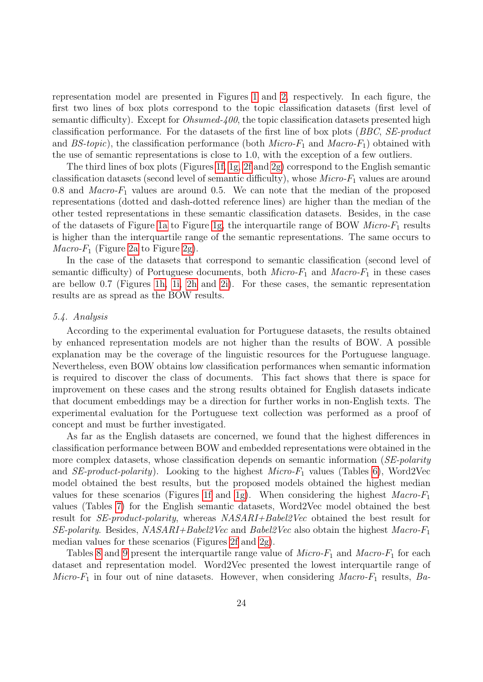representation model are presented in Figures [1](#page-25-0) and [2,](#page-26-0) respectively. In each figure, the first two lines of box plots correspond to the topic classification datasets (first level of semantic difficulty). Except for *Ohsumed-400*, the topic classification datasets presented high classification performance. For the datasets of the first line of box plots (BBC, SE-product and BS-topic), the classification performance (both  $Micro-F_1$  and  $Macro-F_1$ ) obtained with the use of semantic representations is close to 1.0, with the exception of a few outliers.

The third lines of box plots (Figures [1f, 1g,](#page-25-0) [2f](#page-26-0) and [2g\)](#page-26-0) correspond to the English semantic classification datasets (second level of semantic difficulty), whose  $Micro-F<sub>1</sub>$  values are around 0.8 and  $Maccr-F_1$  values are around 0.5. We can note that the median of the proposed representations (dotted and dash-dotted reference lines) are higher than the median of the other tested representations in these semantic classification datasets. Besides, in the case of the datasets of Figure [1a](#page-25-0) to Figure [1g,](#page-25-0) the interquartile range of BOW  $Micro-F_1$  results is higher than the interquartile range of the semantic representations. The same occurs to *Macro-F*<sub>1</sub> (Figure [2a](#page-26-0) to Figure [2g\)](#page-26-0).

In the case of the datasets that correspond to semantic classification (second level of semantic difficulty) of Portuguese documents, both  $Micro-F_1$  and  $Macro-F_1$  in these cases are bellow 0.7 (Figures [1h, 1i,](#page-25-0) [2h](#page-26-0) and [2i\)](#page-26-0). For these cases, the semantic representation results are as spread as the BOW results.

# 5.4. Analysis

According to the experimental evaluation for Portuguese datasets, the results obtained by enhanced representation models are not higher than the results of BOW. A possible explanation may be the coverage of the linguistic resources for the Portuguese language. Nevertheless, even BOW obtains low classification performances when semantic information is required to discover the class of documents. This fact shows that there is space for improvement on these cases and the strong results obtained for English datasets indicate that document embeddings may be a direction for further works in non-English texts. The experimental evaluation for the Portuguese text collection was performed as a proof of concept and must be further investigated.

As far as the English datasets are concerned, we found that the highest differences in classification performance between BOW and embedded representations were obtained in the more complex datasets, whose classification depends on semantic information (SE-polarity and *SE-product-polarity*). Looking to the highest  $Micro-F_1$  values (Tables [6\)](#page-21-0), Word2Vec model obtained the best results, but the proposed models obtained the highest median values for these scenarios (Figures [1f](#page-25-0) and [1g\)](#page-25-0). When considering the highest  $Macro-F<sub>1</sub>$ values (Tables [7\)](#page-22-0) for the English semantic datasets, Word2Vec model obtained the best result for SE-product-polarity, whereas NASARI+Babel2Vec obtained the best result for  $SE$ -polarity. Besides,  $NASARI+Babel2Vec$  and  $Babel2Vec$  also obtain the highest Macro- $F_1$ median values for these scenarios (Figures [2f](#page-26-0) and [2g\)](#page-26-0).

Tables [8](#page-27-0) and [9](#page-27-1) present the interquartile range value of  $Micro-F_1$  and  $Macro-F_1$  for each dataset and representation model. Word2Vec presented the lowest interquartile range of Micro- $F_1$  in four out of nine datasets. However, when considering Macro- $F_1$  results, Ba-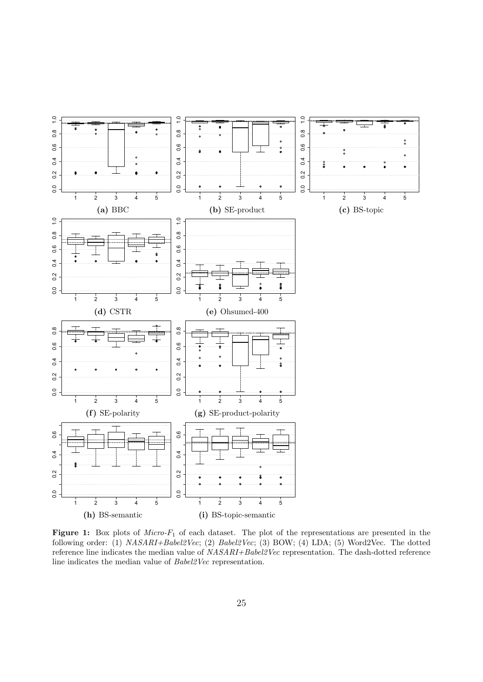<span id="page-25-0"></span>

Figure 1: Box plots of  $Micro-F_1$  of each dataset. The plot of the representations are presented in the following order: (1) NASARI+Babel2Vec; (2) Babel2Vec; (3) BOW; (4) LDA; (5) Word2Vec. The dotted reference line indicates the median value of NASARI+Babel2Vec representation. The dash-dotted reference line indicates the median value of Babel2Vec representation.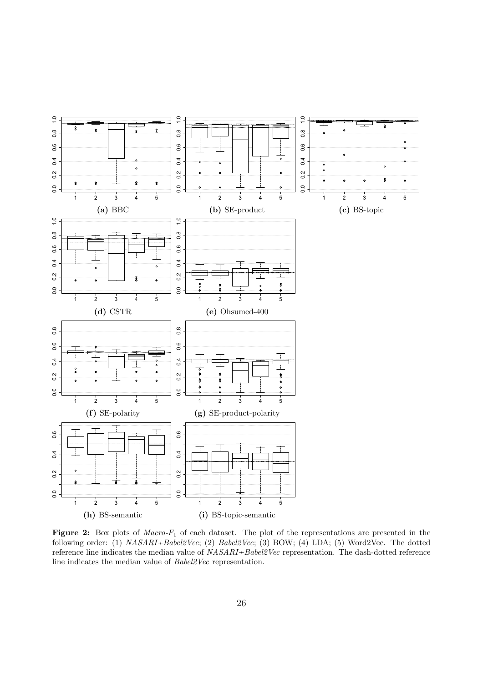<span id="page-26-0"></span>

Figure 2: Box plots of  $Maccr$ -F<sub>1</sub> of each dataset. The plot of the representations are presented in the following order: (1) NASARI+Babel2Vec; (2) Babel2Vec; (3) BOW; (4) LDA; (5) Word2Vec. The dotted reference line indicates the median value of NASARI+Babel2Vec representation. The dash-dotted reference line indicates the median value of Babel2Vec representation.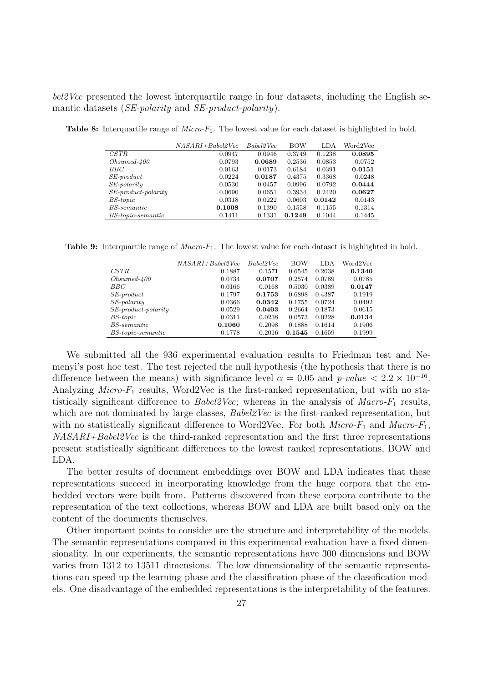bel<sub>2</sub>Vec presented the lowest interquartile range in four datasets, including the English semantic datasets *(SE-polarity and SE-product-polarity)*.

|                                   | $NASARI+Babel2Vec$ | Babel2Vec | <b>BOW</b> | LDA    | Word2Vec |
|-----------------------------------|--------------------|-----------|------------|--------|----------|
| CSTR                              | 0.0947             | 0.0946    | 0.3749     | 0.1238 | 0.0895   |
| $Ohsumed-400$                     | 0.0793             | 0.0689    | 0.2536     | 0.0853 | 0.0752   |
| <i>BBC</i>                        | 0.0163             | 0.0173    | 0.6184     | 0.0391 | 0.0151   |
| $SE$ -product                     | 0.0224             | 0.0187    | 0.4375     | 0.3368 | 0.0248   |
| $SE$ -polarity                    | 0.0530             | 0.0457    | 0.0996     | 0.0792 | 0.0444   |
| $SE$ -product-polarity            | 0.0690             | 0.0651    | 0.3934     | 0.2420 | 0.0627   |
| $BS\text{-}topic$                 | 0.0318             | 0.0222    | 0.0603     | 0.0142 | 0.0143   |
| BS-semantic                       | 0.1008             | 0.1390    | 0.1558     | 0.1155 | 0.1314   |
| $BS\text{-}topic\text{-}semantic$ | 0.1411             | 0.1331    | 0.1249     | 0.1044 | 0.1445   |

<span id="page-27-0"></span>**Table 8:** Interquartile range of  $Micro-F_1$ . The lowest value for each dataset is highlighted in bold.

<span id="page-27-1"></span>**Table 9:** Interquartile range of  $Maccr-F_1$ . The lowest value for each dataset is highlighted in bold.

|                                   | $NASARI+Babel2Vec$ | Babel2Vec | <b>BOW</b> | LDA    | Word2Vec |
|-----------------------------------|--------------------|-----------|------------|--------|----------|
| CSTR                              | 0.1887             | 0.1571    | 0.6545     | 0.2038 | 0.1340   |
| $Ohsumed-400$                     | 0.0734             | 0.0707    | 0.2574     | 0.0789 | 0.0785   |
| $_{BBC}$                          | 0.0166             | 0.0168    | 0.5030     | 0.0389 | 0.0147   |
| $SE$ -product                     | 0.1797             | 0.1753    | 0.6898     | 0.4387 | 0.1919   |
| $SE$ -polarity                    | 0.0366             | 0.0342    | 0.1755     | 0.0724 | 0.0492   |
| $SE$ -product-polarity            | 0.0529             | 0.0403    | 0.2664     | 0.1873 | 0.0615   |
| $BS\text{-}topic$                 | 0.0311             | 0.0238    | 0.0573     | 0.0228 | 0.0134   |
| BS-semantic                       | 0.1060             | 0.2098    | 0.1888     | 0.1614 | 0.1906   |
| $BS\text{-}topic\text{-}semantic$ | 0.1778             | 0.2016    | 0.1545     | 0.1659 | 0.1999   |

We submitted all the 936 experimental evaluation results to Friedman test and Nemenyi's post hoc test. The test rejected the null hypothesis (the hypothesis that there is no difference between the means) with significance level  $\alpha = 0.05$  and  $p-value < 2.2 \times 10^{-16}$ . Analyzing  $Micro-F_1$  results, Word2Vec is the first-ranked representation, but with no statistically significant difference to *Babel2Vec*; whereas in the analysis of *Macro-F*<sub>1</sub> results, which are not dominated by large classes, Babel2Vec is the first-ranked representation, but with no statistically significant difference to Word2Vec. For both  $Micro-F_1$  and  $Macro-F_1$ , NASARI+Babel2Vec is the third-ranked representation and the first three representations present statistically significant differences to the lowest ranked representations, BOW and LDA.

The better results of document embeddings over BOW and LDA indicates that these representations succeed in incorporating knowledge from the huge corpora that the embedded vectors were built from. Patterns discovered from these corpora contribute to the representation of the text collections, whereas BOW and LDA are built based only on the content of the documents themselves.

Other important points to consider are the structure and interpretability of the models. The semantic representations compared in this experimental evaluation have a fixed dimensionality. In our experiments, the semantic representations have 300 dimensions and BOW varies from 1312 to 13511 dimensions. The low dimensionality of the semantic representations can speed up the learning phase and the classification phase of the classification models. One disadvantage of the embedded representations is the interpretability of the features.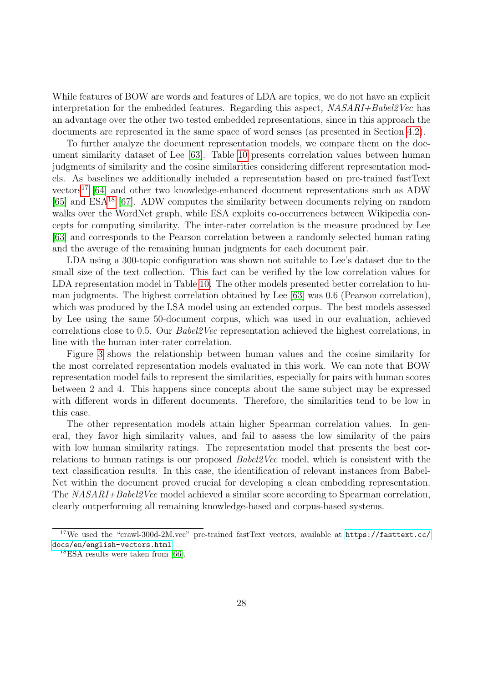While features of BOW are words and features of LDA are topics, we do not have an explicit interpretation for the embedded features. Regarding this aspect, NASARI+Babel2Vec has an advantage over the other two tested embedded representations, since in this approach the documents are represented in the same space of word senses (as presented in Section [4.2\)](#page-9-0).

To further analyze the document representation models, we compare them on the document similarity dataset of Lee [\[63\]](#page-34-7). Table [10](#page-29-0) presents correlation values between human judgments of similarity and the cosine similarities considering different representation models. As baselines we additionally included a representation based on pre-trained fastText vectors[17](#page-28-0) [\[64\]](#page-34-8) and other two knowledge-enhanced document representations such as ADW [\[65\]](#page-34-9) and ESA[18](#page-28-1) [\[67\]](#page-34-10). ADW computes the similarity between documents relying on random walks over the WordNet graph, while ESA exploits co-occurrences between Wikipedia concepts for computing similarity. The inter-rater correlation is the measure produced by Lee [\[63\]](#page-34-7) and corresponds to the Pearson correlation between a randomly selected human rating and the average of the remaining human judgments for each document pair.

LDA using a 300-topic configuration was shown not suitable to Lee's dataset due to the small size of the text collection. This fact can be verified by the low correlation values for LDA representation model in Table [10.](#page-29-0) The other models presented better correlation to human judgments. The highest correlation obtained by Lee [\[63\]](#page-34-7) was 0.6 (Pearson correlation), which was produced by the LSA model using an extended corpus. The best models assessed by Lee using the same 50-document corpus, which was used in our evaluation, achieved correlations close to 0.5. Our *Babel2Vec* representation achieved the highest correlations, in line with the human inter-rater correlation.

Figure [3](#page-29-1) shows the relationship between human values and the cosine similarity for the most correlated representation models evaluated in this work. We can note that BOW representation model fails to represent the similarities, especially for pairs with human scores between 2 and 4. This happens since concepts about the same subject may be expressed with different words in different documents. Therefore, the similarities tend to be low in this case.

The other representation models attain higher Spearman correlation values. In general, they favor high similarity values, and fail to assess the low similarity of the pairs with low human similarity ratings. The representation model that presents the best correlations to human ratings is our proposed Babel2Vec model, which is consistent with the text classification results. In this case, the identification of relevant instances from Babel-Net within the document proved crucial for developing a clean embedding representation. The NASARI+Babel2Vec model achieved a similar score according to Spearman correlation, clearly outperforming all remaining knowledge-based and corpus-based systems.

<span id="page-28-0"></span><sup>17</sup>We used the "crawl-300d-2M.vec" pre-trained fastText vectors, available at [https://fasttext.cc/](https://fasttext.cc/docs/en/english-vectors.html) [docs/en/english-vectors.html](https://fasttext.cc/docs/en/english-vectors.html)

<span id="page-28-1"></span><sup>18</sup>ESA results were taken from [\[66\]](#page-34-11).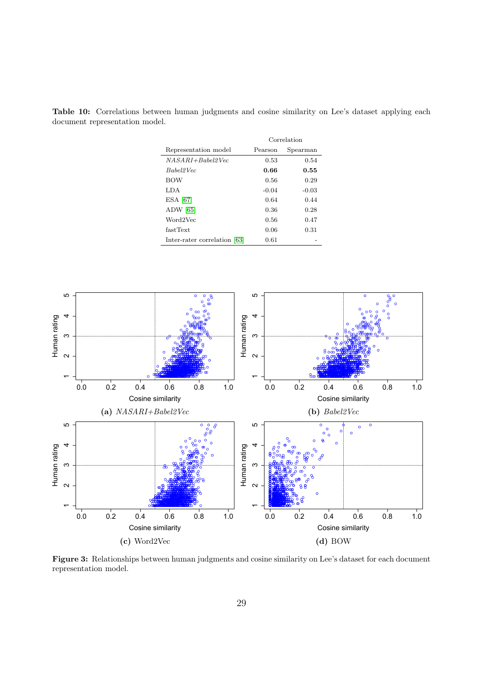|                              | Correlation |          |  |
|------------------------------|-------------|----------|--|
| Representation model         | Pearson     | Spearman |  |
| $NASARI+Babel2Vec$           | 0.53        | 0.54     |  |
| Babel2Vec                    | 0.66        | 0.55     |  |
| <b>BOW</b>                   | 0.56        | 0.29     |  |
| LDA                          | $-0.04$     | $-0.03$  |  |
| $ESA$ [67]                   | 0.64        | 0.44     |  |
| $ADW$ [65]                   | 0.36        | 0.28     |  |
| Word2Vec                     | 0.56        | 0.47     |  |
| fastText                     | 0.06        | 0.31     |  |
| Inter-rater correlation [63] | 0.61        |          |  |

<span id="page-29-0"></span>Table 10: Correlations between human judgments and cosine similarity on Lee's dataset applying each document representation model.

<span id="page-29-1"></span>

Figure 3: Relationships between human judgments and cosine similarity on Lee's dataset for each document representation model.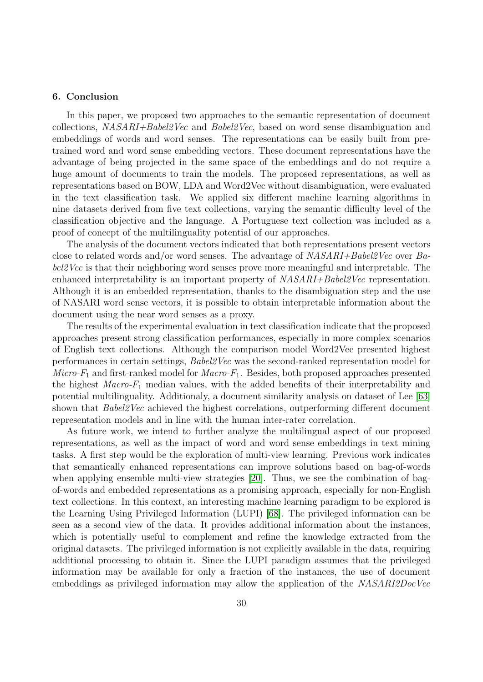# <span id="page-30-0"></span>6. Conclusion

In this paper, we proposed two approaches to the semantic representation of document collections, NASARI+Babel2Vec and Babel2Vec, based on word sense disambiguation and embeddings of words and word senses. The representations can be easily built from pretrained word and word sense embedding vectors. These document representations have the advantage of being projected in the same space of the embeddings and do not require a huge amount of documents to train the models. The proposed representations, as well as representations based on BOW, LDA and Word2Vec without disambiguation, were evaluated in the text classification task. We applied six different machine learning algorithms in nine datasets derived from five text collections, varying the semantic difficulty level of the classification objective and the language. A Portuguese text collection was included as a proof of concept of the multilinguality potential of our approaches.

The analysis of the document vectors indicated that both representations present vectors close to related words and/or word senses. The advantage of NASARI+Babel2Vec over Babel<sub>2</sub>Vec is that their neighboring word senses prove more meaningful and interpretable. The enhanced interpretability is an important property of  $NASARI+Babel2Vec$  representation. Although it is an embedded representation, thanks to the disambiguation step and the use of NASARI word sense vectors, it is possible to obtain interpretable information about the document using the near word senses as a proxy.

The results of the experimental evaluation in text classification indicate that the proposed approaches present strong classification performances, especially in more complex scenarios of English text collections. Although the comparison model Word2Vec presented highest performances in certain settings, Babel2Vec was the second-ranked representation model for  $Micro-F<sub>1</sub>$  and first-ranked model for  $Macro-F<sub>1</sub>$ . Besides, both proposed approaches presented the highest  $Macro-F<sub>1</sub>$  median values, with the added benefits of their interpretability and potential multilinguality. Additionaly, a document similarity analysis on dataset of Lee [\[63\]](#page-34-7) shown that *Babel2Vec* achieved the highest correlations, outperforming different document representation models and in line with the human inter-rater correlation.

As future work, we intend to further analyze the multilingual aspect of our proposed representations, as well as the impact of word and word sense embeddings in text mining tasks. A first step would be the exploration of multi-view learning. Previous work indicates that semantically enhanced representations can improve solutions based on bag-of-words when applying ensemble multi-view strategies [\[20\]](#page-32-4). Thus, we see the combination of bagof-words and embedded representations as a promising approach, especially for non-English text collections. In this context, an interesting machine learning paradigm to be explored is the Learning Using Privileged Information (LUPI) [\[68\]](#page-34-12). The privileged information can be seen as a second view of the data. It provides additional information about the instances, which is potentially useful to complement and refine the knowledge extracted from the original datasets. The privileged information is not explicitly available in the data, requiring additional processing to obtain it. Since the LUPI paradigm assumes that the privileged information may be available for only a fraction of the instances, the use of document embeddings as privileged information may allow the application of the NASARI2DocVec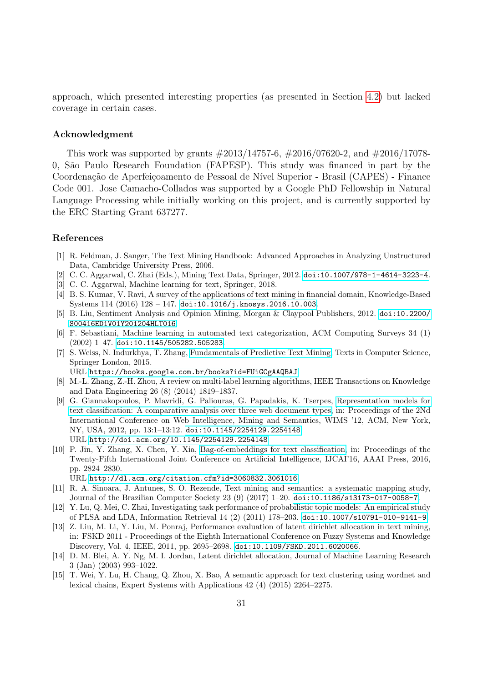approach, which presented interesting properties (as presented in Section [4.2\)](#page-9-0) but lacked coverage in certain cases.

# Acknowledgment

This work was supported by grants #2013/14757-6, #2016/07620-2, and #2016/17078- 0, S˜ao Paulo Research Foundation (FAPESP). This study was financed in part by the Coordenação de Aperfeiçoamento de Pessoal de Nível Superior - Brasil (CAPES) - Finance Code 001. Jose Camacho-Collados was supported by a Google PhD Fellowship in Natural Language Processing while initially working on this project, and is currently supported by the ERC Starting Grant 637277.

# References

- <span id="page-31-0"></span>[1] R. Feldman, J. Sanger, The Text Mining Handbook: Advanced Approaches in Analyzing Unstructured Data, Cambridge University Press, 2006.
- <span id="page-31-1"></span>[2] C. C. Aggarwal, C. Zhai (Eds.), Mining Text Data, Springer, 2012. [doi:10.1007/978-1-4614-3223-4](http://dx.doi.org/10.1007/978-1-4614-3223-4).
- <span id="page-31-2"></span>[3] C. C. Aggarwal, Machine learning for text, Springer, 2018.
- <span id="page-31-3"></span>[4] B. S. Kumar, V. Ravi, A survey of the applications of text mining in financial domain, Knowledge-Based Systems 114 (2016) 128 – 147. [doi:10.1016/j.knosys.2016.10.003](http://dx.doi.org/10.1016/j.knosys.2016.10.003).
- <span id="page-31-4"></span>[5] B. Liu, Sentiment Analysis and Opinion Mining, Morgan & Claypool Publishers, 2012. [doi:10.2200/](http://dx.doi.org/10.2200/S00416ED1V01Y201204HLT016) [S00416ED1V01Y201204HLT016](http://dx.doi.org/10.2200/S00416ED1V01Y201204HLT016).
- <span id="page-31-5"></span>[6] F. Sebastiani, Machine learning in automated text categorization, ACM Computing Surveys 34 (1) (2002) 1–47. [doi:10.1145/505282.505283](http://dx.doi.org/10.1145/505282.505283).
- <span id="page-31-6"></span>[7] S. Weiss, N. Indurkhya, T. Zhang, [Fundamentals of Predictive Text Mining,](https://books.google.com.br/books?id=FUiGCgAAQBAJ) Texts in Computer Science, Springer London, 2015.

URL <https://books.google.com.br/books?id=FUiGCgAAQBAJ>

- <span id="page-31-7"></span>[8] M.-L. Zhang, Z.-H. Zhou, A review on multi-label learning algorithms, IEEE Transactions on Knowledge and Data Engineering 26 (8) (2014) 1819–1837.
- <span id="page-31-8"></span>[9] G. Giannakopoulos, P. Mavridi, G. Paliouras, G. Papadakis, K. Tserpes, [Representation models for](http://doi.acm.org/10.1145/2254129.2254148) [text classification: A comparative analysis over three web document types,](http://doi.acm.org/10.1145/2254129.2254148) in: Proceedings of the 2Nd International Conference on Web Intelligence, Mining and Semantics, WIMS '12, ACM, New York, NY, USA, 2012, pp. 13:1–13:12. [doi:10.1145/2254129.2254148](http://dx.doi.org/10.1145/2254129.2254148). URL <http://doi.acm.org/10.1145/2254129.2254148>
- <span id="page-31-9"></span>[10] P. Jin, Y. Zhang, X. Chen, Y. Xia, [Bag-of-embeddings for text classification,](http://dl.acm.org/citation.cfm?id=3060832.3061016) in: Proceedings of the Twenty-Fifth International Joint Conference on Artificial Intelligence, IJCAI'16, AAAI Press, 2016, pp. 2824–2830.

URL <http://dl.acm.org/citation.cfm?id=3060832.3061016>

- <span id="page-31-10"></span>[11] R. A. Sinoara, J. Antunes, S. O. Rezende, Text mining and semantics: a systematic mapping study, Journal of the Brazilian Computer Society 23 (9) (2017) 1–20. [doi:10.1186/s13173-017-0058-7](http://dx.doi.org/10.1186/s13173-017-0058-7).
- <span id="page-31-11"></span>[12] Y. Lu, Q. Mei, C. Zhai, Investigating task performance of probabilistic topic models: An empirical study of PLSA and LDA, Information Retrieval 14 (2) (2011) 178–203. [doi:10.1007/s10791-010-9141-9](http://dx.doi.org/10.1007/s10791-010-9141-9).
- <span id="page-31-12"></span>[13] Z. Liu, M. Li, Y. Liu, M. Ponraj, Performance evaluation of latent dirichlet allocation in text mining, in: FSKD 2011 - Proceedings of the Eighth International Conference on Fuzzy Systems and Knowledge Discovery, Vol. 4, IEEE, 2011, pp. 2695–2698. [doi:10.1109/FSKD.2011.6020066](http://dx.doi.org/10.1109/FSKD.2011.6020066).
- <span id="page-31-13"></span>[14] D. M. Blei, A. Y. Ng, M. I. Jordan, Latent dirichlet allocation, Journal of Machine Learning Research 3 (Jan) (2003) 993–1022.
- <span id="page-31-14"></span>[15] T. Wei, Y. Lu, H. Chang, Q. Zhou, X. Bao, A semantic approach for text clustering using wordnet and lexical chains, Expert Systems with Applications 42 (4) (2015) 2264–2275.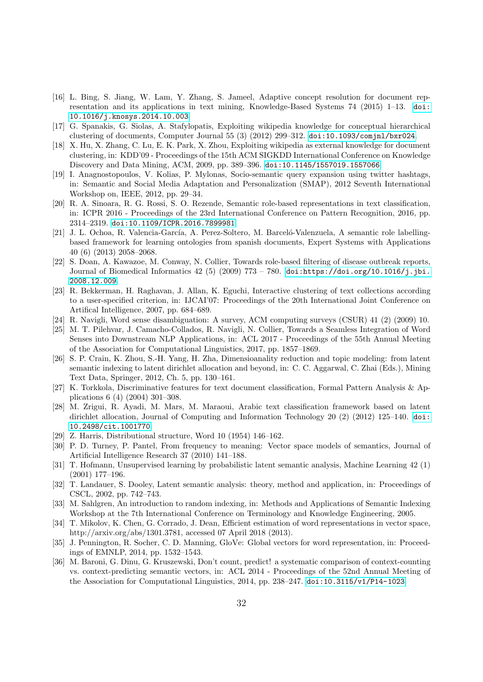- <span id="page-32-0"></span>[16] L. Bing, S. Jiang, W. Lam, Y. Zhang, S. Jameel, Adaptive concept resolution for document representation and its applications in text mining, Knowledge-Based Systems 74 (2015) 1–13. [doi:](http://dx.doi.org/10.1016/j.knosys.2014.10.003) [10.1016/j.knosys.2014.10.003](http://dx.doi.org/10.1016/j.knosys.2014.10.003).
- <span id="page-32-1"></span>[17] G. Spanakis, G. Siolas, A. Stafylopatis, Exploiting wikipedia knowledge for conceptual hierarchical clustering of documents, Computer Journal 55 (3) (2012) 299–312. [doi:10.1093/comjnl/bxr024](http://dx.doi.org/10.1093/comjnl/bxr024).
- <span id="page-32-2"></span>[18] X. Hu, X. Zhang, C. Lu, E. K. Park, X. Zhou, Exploiting wikipedia as external knowledge for document clustering, in: KDD'09 - Proceedings of the 15th ACM SIGKDD International Conference on Knowledge Discovery and Data Mining, ACM, 2009, pp. 389–396. [doi:10.1145/1557019.1557066](http://dx.doi.org/10.1145/1557019.1557066).
- <span id="page-32-3"></span>[19] I. Anagnostopoulos, V. Kolias, P. Mylonas, Socio-semantic query expansion using twitter hashtags, in: Semantic and Social Media Adaptation and Personalization (SMAP), 2012 Seventh International Workshop on, IEEE, 2012, pp. 29–34.
- <span id="page-32-4"></span>[20] R. A. Sinoara, R. G. Rossi, S. O. Rezende, Semantic role-based representations in text classification, in: ICPR 2016 - Proceedings of the 23rd International Conference on Pattern Recognition, 2016, pp. 2314–2319. [doi:10.1109/ICPR.2016.7899981](http://dx.doi.org/10.1109/ICPR.2016.7899981).
- <span id="page-32-5"></span>[21] J. L. Ochoa, R. Valencia-García, A. Perez-Soltero, M. Barceló-Valenzuela, A semantic role labellingbased framework for learning ontologies from spanish documents, Expert Systems with Applications 40 (6) (2013) 2058–2068.
- <span id="page-32-6"></span>[22] S. Doan, A. Kawazoe, M. Conway, N. Collier, Towards role-based filtering of disease outbreak reports, Journal of Biomedical Informatics  $42$  (5) (2009) 773 – 780. [doi:https://doi.org/10.1016/j.jbi.](http://dx.doi.org/https://doi.org/10.1016/j.jbi.2008.12.009) [2008.12.009](http://dx.doi.org/https://doi.org/10.1016/j.jbi.2008.12.009).
- <span id="page-32-7"></span>[23] R. Bekkerman, H. Raghavan, J. Allan, K. Eguchi, Interactive clustering of text collections according to a user-specified criterion, in: IJCAI'07: Proceedings of the 20th International Joint Conference on Artifical Intelligence, 2007, pp. 684–689.
- <span id="page-32-8"></span>[24] R. Navigli, Word sense disambiguation: A survey, ACM computing surveys (CSUR) 41 (2) (2009) 10.
- <span id="page-32-9"></span>[25] M. T. Pilehvar, J. Camacho-Collados, R. Navigli, N. Collier, Towards a Seamless Integration of Word Senses into Downstream NLP Applications, in: ACL 2017 - Proceedings of the 55th Annual Meeting of the Association for Computational Linguistics, 2017, pp. 1857–1869.
- <span id="page-32-10"></span>[26] S. P. Crain, K. Zhou, S.-H. Yang, H. Zha, Dimensioanality reduction and topic modeling: from latent semantic indexing to latent dirichlet allocation and beyond, in: C. C. Aggarwal, C. Zhai (Eds.), Mining Text Data, Springer, 2012, Ch. 5, pp. 130–161.
- <span id="page-32-11"></span>[27] K. Torkkola, Discriminative features for text document classification, Formal Pattern Analysis & Applications 6 (4) (2004) 301–308.
- <span id="page-32-12"></span>[28] M. Zrigui, R. Ayadi, M. Mars, M. Maraoui, Arabic text classification framework based on latent dirichlet allocation, Journal of Computing and Information Technology 20 (2) (2012) 125–140. [doi:](http://dx.doi.org/10.2498/cit.1001770) [10.2498/cit.1001770](http://dx.doi.org/10.2498/cit.1001770).
- <span id="page-32-13"></span>[29] Z. Harris, Distributional structure, Word 10 (1954) 146–162.
- <span id="page-32-14"></span>[30] P. D. Turney, P. Pantel, From frequency to meaning: Vector space models of semantics, Journal of Artificial Intelligence Research 37 (2010) 141–188.
- <span id="page-32-15"></span>[31] T. Hofmann, Unsupervised learning by probabilistic latent semantic analysis, Machine Learning 42 (1) (2001) 177–196.
- <span id="page-32-16"></span>[32] T. Landauer, S. Dooley, Latent semantic analysis: theory, method and application, in: Proceedings of CSCL, 2002, pp. 742–743.
- <span id="page-32-17"></span>[33] M. Sahlgren, An introduction to random indexing, in: Methods and Applications of Semantic Indexing Workshop at the 7th International Conference on Terminology and Knowledge Engineering, 2005.
- <span id="page-32-18"></span>[34] T. Mikolov, K. Chen, G. Corrado, J. Dean, Efficient estimation of word representations in vector space, http://arxiv.org/abs/1301.3781, accessed 07 April 2018 (2013).
- <span id="page-32-19"></span>[35] J. Pennington, R. Socher, C. D. Manning, GloVe: Global vectors for word representation, in: Proceedings of EMNLP, 2014, pp. 1532–1543.
- <span id="page-32-20"></span>[36] M. Baroni, G. Dinu, G. Kruszewski, Don't count, predict! a systematic comparison of context-counting vs. context-predicting semantic vectors, in: ACL 2014 - Proceedings of the 52nd Annual Meeting of the Association for Computational Linguistics, 2014, pp. 238–247. [doi:10.3115/v1/P14-1023](http://dx.doi.org/10.3115/v1/P14-1023).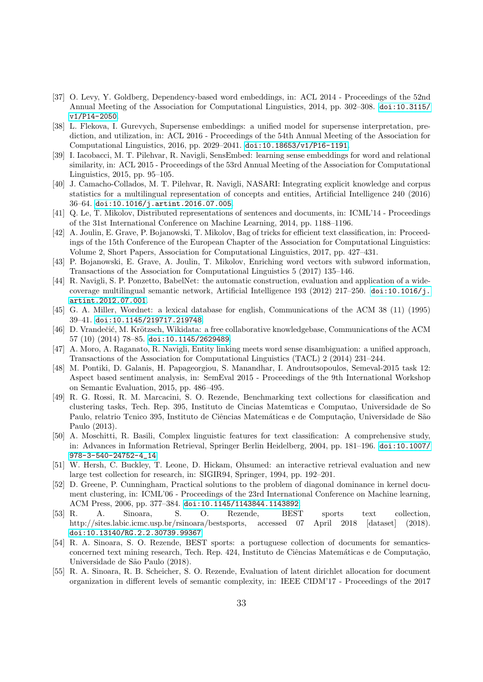- <span id="page-33-0"></span>[37] O. Levy, Y. Goldberg, Dependency-based word embeddings, in: ACL 2014 - Proceedings of the 52nd Annual Meeting of the Association for Computational Linguistics, 2014, pp. 302–308. [doi:10.3115/](http://dx.doi.org/10.3115/v1/P14-2050) [v1/P14-2050](http://dx.doi.org/10.3115/v1/P14-2050).
- <span id="page-33-1"></span>[38] L. Flekova, I. Gurevych, Supersense embeddings: a unified model for supersense interpretation, prediction, and utilization, in: ACL 2016 - Proceedings of the 54th Annual Meeting of the Association for Computational Linguistics, 2016, pp. 2029–2041. [doi:10.18653/v1/P16-1191](http://dx.doi.org/10.18653/v1/P16-1191).
- <span id="page-33-2"></span>[39] I. Iacobacci, M. T. Pilehvar, R. Navigli, SensEmbed: learning sense embeddings for word and relational similarity, in: ACL 2015 - Proceedings of the 53rd Annual Meeting of the Association for Computational Linguistics, 2015, pp. 95–105.
- <span id="page-33-3"></span>[40] J. Camacho-Collados, M. T. Pilehvar, R. Navigli, NASARI: Integrating explicit knowledge and corpus statistics for a multilingual representation of concepts and entities, Artificial Intelligence 240 (2016) 36–64. [doi:10.1016/j.artint.2016.07.005](http://dx.doi.org/10.1016/j.artint.2016.07.005).
- <span id="page-33-4"></span>[41] Q. Le, T. Mikolov, Distributed representations of sentences and documents, in: ICML'14 - Proceedings of the 31st International Conference on Machine Learning, 2014, pp. 1188–1196.
- <span id="page-33-5"></span>[42] A. Joulin, E. Grave, P. Bojanowski, T. Mikolov, Bag of tricks for efficient text classification, in: Proceedings of the 15th Conference of the European Chapter of the Association for Computational Linguistics: Volume 2, Short Papers, Association for Computational Linguistics, 2017, pp. 427–431.
- <span id="page-33-6"></span>[43] P. Bojanowski, E. Grave, A. Joulin, T. Mikolov, Enriching word vectors with subword information, Transactions of the Association for Computational Linguistics 5 (2017) 135–146.
- <span id="page-33-7"></span>[44] R. Navigli, S. P. Ponzetto, BabelNet: the automatic construction, evaluation and application of a widecoverage multilingual semantic network, Artificial Intelligence 193 (2012) 217–250. [doi:10.1016/j.](http://dx.doi.org/10.1016/j.artint.2012.07.001) [artint.2012.07.001](http://dx.doi.org/10.1016/j.artint.2012.07.001).
- <span id="page-33-8"></span>[45] G. A. Miller, Wordnet: a lexical database for english, Communications of the ACM 38 (11) (1995) 39–41. [doi:10.1145/219717.219748](http://dx.doi.org/10.1145/219717.219748).
- <span id="page-33-9"></span>[46] D. Vrandečić, M. Krötzsch, Wikidata: a free collaborative knowledgebase, Communications of the ACM 57 (10) (2014) 78–85. [doi:10.1145/2629489](http://dx.doi.org/10.1145/2629489).
- <span id="page-33-10"></span>[47] A. Moro, A. Raganato, R. Navigli, Entity linking meets word sense disambiguation: a unified approach, Transactions of the Association for Computational Linguistics (TACL) 2 (2014) 231–244.
- <span id="page-33-11"></span>[48] M. Pontiki, D. Galanis, H. Papageorgiou, S. Manandhar, I. Androutsopoulos, Semeval-2015 task 12: Aspect based sentiment analysis, in: SemEval 2015 - Proceedings of the 9th International Workshop on Semantic Evaluation, 2015, pp. 486–495.
- <span id="page-33-12"></span>[49] R. G. Rossi, R. M. Marcacini, S. O. Rezende, Benchmarking text collections for classification and clustering tasks, Tech. Rep. 395, Instituto de Cincias Matemticas e Computao, Universidade de So Paulo, relatrio Tcnico 395, Instituto de Ciências Matemáticas e de Computação, Universidade de São Paulo (2013).
- <span id="page-33-13"></span>[50] A. Moschitti, R. Basili, Complex linguistic features for text classification: A comprehensive study, in: Advances in Information Retrieval, Springer Berlin Heidelberg, 2004, pp. 181–196. [doi:10.1007/](http://dx.doi.org/10.1007/978-3-540-24752-4_14) [978-3-540-24752-4\\_14](http://dx.doi.org/10.1007/978-3-540-24752-4_14).
- <span id="page-33-14"></span>[51] W. Hersh, C. Buckley, T. Leone, D. Hickam, Ohsumed: an interactive retrieval evaluation and new large test collection for research, in: SIGIR94, Springer, 1994, pp. 192–201.
- <span id="page-33-15"></span>[52] D. Greene, P. Cunningham, Practical solutions to the problem of diagonal dominance in kernel document clustering, in: ICML'06 - Proceedings of the 23rd International Conference on Machine learning, ACM Press, 2006, pp. 377–384. [doi:10.1145/1143844.1143892](http://dx.doi.org/10.1145/1143844.1143892).
- <span id="page-33-16"></span>[53] R. A. Sinoara, S. O. Rezende, BEST sports text collection, http://sites.labic.icmc.usp.br/rsinoara/bestsports, accessed 07 April 2018 [dataset] (2018). [doi:10.13140/RG.2.2.30739.99367](http://dx.doi.org/10.13140/RG.2.2.30739.99367).
- <span id="page-33-17"></span>[54] R. A. Sinoara, S. O. Rezende, BEST sports: a portuguese collection of documents for semanticsconcerned text mining research, Tech. Rep. 424, Instituto de Ciências Matemáticas e de Computação, Universidade de São Paulo (2018).
- <span id="page-33-18"></span>[55] R. A. Sinoara, R. B. Scheicher, S. O. Rezende, Evaluation of latent dirichlet allocation for document organization in different levels of semantic complexity, in: IEEE CIDM'17 - Proceedings of the 2017